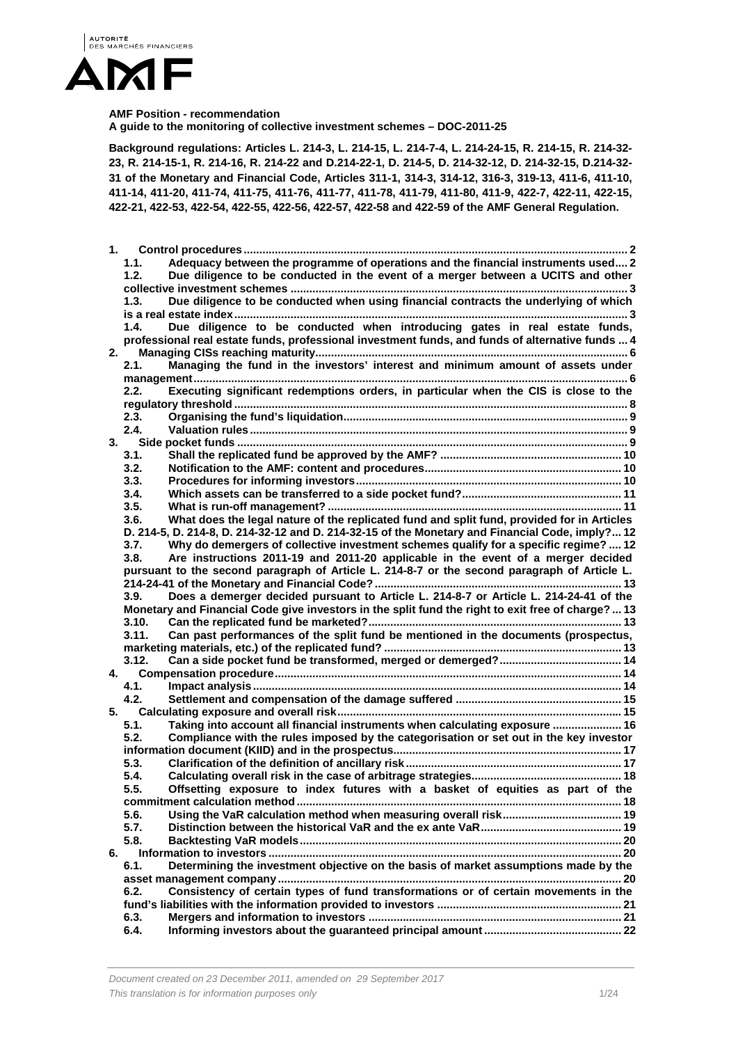

#### **AMF Position - recommendation**

**A guide to the monitoring of collective investment schemes – DOC-2011-25** 

**Background regulations: Articles L. 214-3, L. 214-15, L. 214-7-4, L. 214-24-15, R. 214-15, R. 214-32- 23, R. 214-15-1, R. 214-16, R. 214-22 and D.214-22-1, D. 214-5, D. 214-32-12, D. 214-32-15, D.214-32- 31 of the Monetary and Financial Code, Articles 311-1, 314-3, 314-12, 316-3, 319-13, 411-6, 411-10, 411-14, 411-20, 411-74, 411-75, 411-76, 411-77, 411-78, 411-79, 411-80, 411-9, 422-7, 422-11, 422-15, 422-21, 422-53, 422-54, 422-55, 422-56, 422-57, 422-58 and 422-59 of the AMF General Regulation.** 

| 1. |                                                                                                    |  |
|----|----------------------------------------------------------------------------------------------------|--|
|    | Adequacy between the programme of operations and the financial instruments used 2<br>1.1.          |  |
|    | Due diligence to be conducted in the event of a merger between a UCITS and other<br>1.2.           |  |
|    |                                                                                                    |  |
|    | Due diligence to be conducted when using financial contracts the underlying of which<br>1.3.       |  |
|    |                                                                                                    |  |
|    | Due diligence to be conducted when introducing gates in real estate funds,<br>1.4.                 |  |
|    | professional real estate funds, professional investment funds, and funds of alternative funds  4   |  |
| 2. |                                                                                                    |  |
|    | Managing the fund in the investors' interest and minimum amount of assets under<br>2.1.            |  |
|    |                                                                                                    |  |
|    | Executing significant redemptions orders, in particular when the CIS is close to the<br>2.2.       |  |
|    | 2.3.                                                                                               |  |
|    | 2.4.                                                                                               |  |
| 3. |                                                                                                    |  |
|    | 3.1.                                                                                               |  |
|    | 3.2.                                                                                               |  |
|    | 3.3.                                                                                               |  |
|    | 3.4.                                                                                               |  |
|    | 3.5.                                                                                               |  |
|    | What does the legal nature of the replicated fund and split fund, provided for in Articles<br>3.6. |  |
|    | D. 214-5, D. 214-8, D. 214-32-12 and D. 214-32-15 of the Monetary and Financial Code, imply? 12    |  |
|    | Why do demergers of collective investment schemes qualify for a specific regime?  12<br>3.7.       |  |
|    | Are instructions 2011-19 and 2011-20 applicable in the event of a merger decided<br>3.8.           |  |
|    | pursuant to the second paragraph of Article L. 214-8-7 or the second paragraph of Article L.       |  |
|    |                                                                                                    |  |
|    | Does a demerger decided pursuant to Article L. 214-8-7 or Article L. 214-24-41 of the<br>3.9.      |  |
|    | Monetary and Financial Code give investors in the split fund the right to exit free of charge?  13 |  |
|    | 3.10.                                                                                              |  |
|    | Can past performances of the split fund be mentioned in the documents (prospectus,<br>3.11.        |  |
|    |                                                                                                    |  |
|    | 3.12.                                                                                              |  |
| 4. | 4.1.                                                                                               |  |
|    | 4.2.                                                                                               |  |
| 5. |                                                                                                    |  |
|    | Taking into account all financial instruments when calculating exposure  16<br>5.1.                |  |
|    | Compliance with the rules imposed by the categorisation or set out in the key investor<br>5.2.     |  |
|    |                                                                                                    |  |
|    | 5.3.                                                                                               |  |
|    | 5.4.                                                                                               |  |
|    | Offsetting exposure to index futures with a basket of equities as part of the<br>5.5.              |  |
|    |                                                                                                    |  |
|    | 5.6.                                                                                               |  |
|    | 5.7.                                                                                               |  |
|    | 5.8.                                                                                               |  |
| 6. |                                                                                                    |  |
|    | Determining the investment objective on the basis of market assumptions made by the<br>6.1.        |  |
|    |                                                                                                    |  |
|    | Consistency of certain types of fund transformations or of certain movements in the<br>6.2.        |  |
|    |                                                                                                    |  |
|    | 6.3.                                                                                               |  |
|    | 6.4.                                                                                               |  |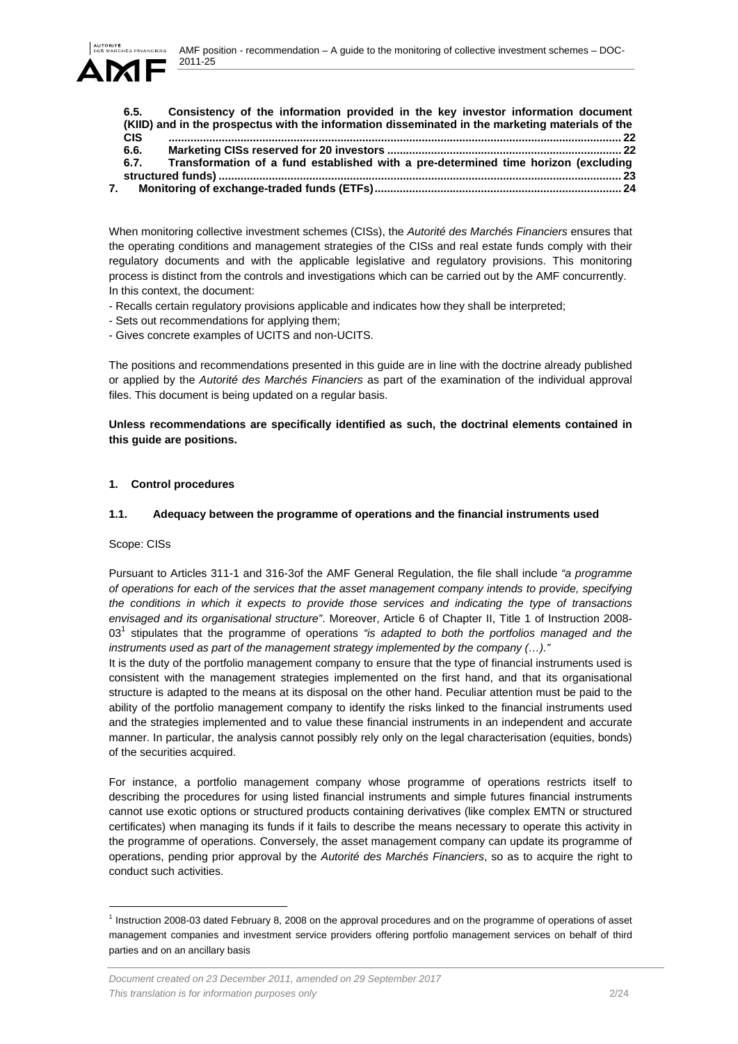AMF position - recommendation – A guide to the monitoring of collective investment schemes – DOC-2011-25



| 6.5.       | Consistency of the information provided in the key investor information document                 |  |
|------------|--------------------------------------------------------------------------------------------------|--|
|            | (KIID) and in the prospectus with the information disseminated in the marketing materials of the |  |
| <b>CIS</b> |                                                                                                  |  |
| 6.6.       |                                                                                                  |  |
| 6.7.       | Transformation of a fund established with a pre-determined time horizon (excluding               |  |
|            |                                                                                                  |  |
|            |                                                                                                  |  |

When monitoring collective investment schemes (CISs), the *Autorité des Marchés Financiers* ensures that the operating conditions and management strategies of the CISs and real estate funds comply with their regulatory documents and with the applicable legislative and regulatory provisions. This monitoring process is distinct from the controls and investigations which can be carried out by the AMF concurrently. In this context, the document:

- Recalls certain regulatory provisions applicable and indicates how they shall be interpreted;
- Sets out recommendations for applying them;
- Gives concrete examples of UCITS and non-UCITS.

The positions and recommendations presented in this guide are in line with the doctrine already published or applied by the *Autorité des Marchés Financiers* as part of the examination of the individual approval files. This document is being updated on a regular basis.

**Unless recommendations are specifically identified as such, the doctrinal elements contained in this guide are positions.** 

## **1. Control procedures**

## **1.1. Adequacy between the programme of operations and the financial instruments used**

### Scope: CISs

l

Pursuant to Articles 311-1 and 316-3of the AMF General Regulation, the file shall include *"a programme of operations for each of the services that the asset management company intends to provide, specifying the conditions in which it expects to provide those services and indicating the type of transactions envisaged and its organisational structure"*. Moreover, Article 6 of Chapter II, Title 1 of Instruction 2008- 03<sup>1</sup> stipulates that the programme of operations "is adapted to both the portfolios managed and the *instruments used as part of the management strategy implemented by the company (…)."*

It is the duty of the portfolio management company to ensure that the type of financial instruments used is consistent with the management strategies implemented on the first hand, and that its organisational structure is adapted to the means at its disposal on the other hand. Peculiar attention must be paid to the ability of the portfolio management company to identify the risks linked to the financial instruments used and the strategies implemented and to value these financial instruments in an independent and accurate manner. In particular, the analysis cannot possibly rely only on the legal characterisation (equities, bonds) of the securities acquired.

For instance, a portfolio management company whose programme of operations restricts itself to describing the procedures for using listed financial instruments and simple futures financial instruments cannot use exotic options or structured products containing derivatives (like complex EMTN or structured certificates) when managing its funds if it fails to describe the means necessary to operate this activity in the programme of operations. Conversely, the asset management company can update its programme of operations, pending prior approval by the *Autorité des Marchés Financiers*, so as to acquire the right to conduct such activities.

 $1$  Instruction 2008-03 dated February 8, 2008 on the approval procedures and on the programme of operations of asset management companies and investment service providers offering portfolio management services on behalf of third parties and on an ancillary basis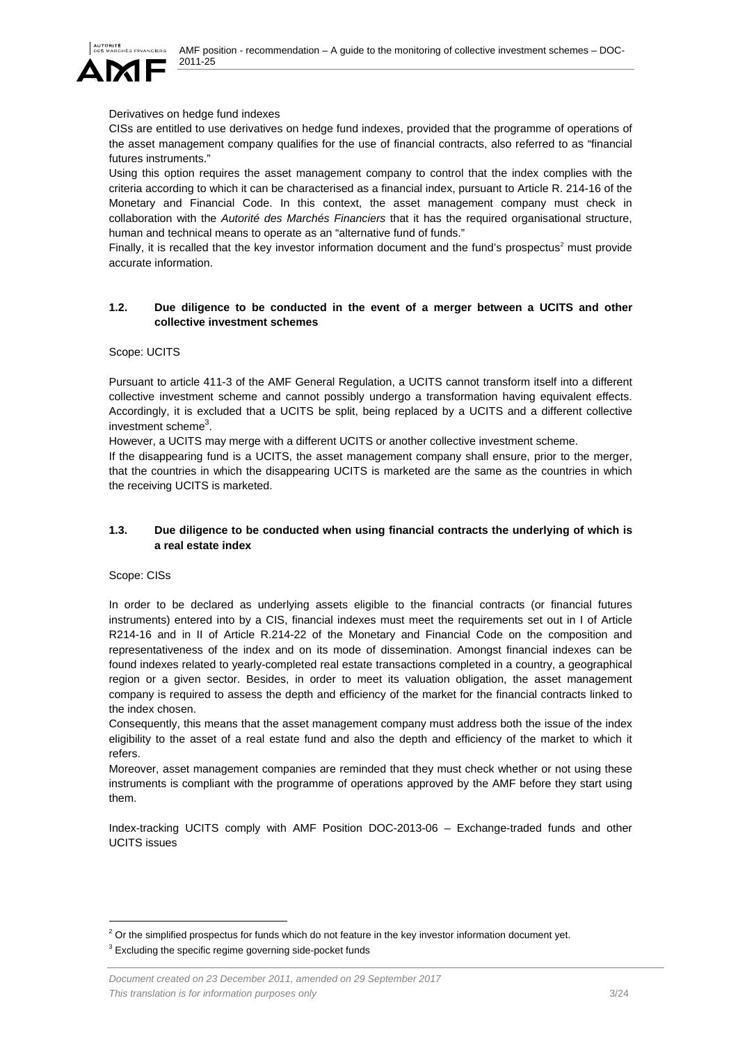

## Derivatives on hedge fund indexes

CISs are entitled to use derivatives on hedge fund indexes, provided that the programme of operations of the asset management company qualifies for the use of financial contracts, also referred to as "financial futures instruments."

Using this option requires the asset management company to control that the index complies with the criteria according to which it can be characterised as a financial index, pursuant to Article R. 214-16 of the Monetary and Financial Code. In this context, the asset management company must check in collaboration with the *Autorité des Marchés Financiers* that it has the required organisational structure, human and technical means to operate as an "alternative fund of funds."

Finally, it is recalled that the key investor information document and the fund's prospectus<sup>2</sup> must provide accurate information.

### **1.2. Due diligence to be conducted in the event of a merger between a UCITS and other collective investment schemes**

### Scope: UCITS

Pursuant to article 411-3 of the AMF General Regulation, a UCITS cannot transform itself into a different collective investment scheme and cannot possibly undergo a transformation having equivalent effects. Accordingly, it is excluded that a UCITS be split, being replaced by a UCITS and a different collective investment scheme<sup>3</sup>.

However, a UCITS may merge with a different UCITS or another collective investment scheme.

If the disappearing fund is a UCITS, the asset management company shall ensure, prior to the merger, that the countries in which the disappearing UCITS is marketed are the same as the countries in which the receiving UCITS is marketed.

## **1.3. Due diligence to be conducted when using financial contracts the underlying of which is a real estate index**

Scope: CISs

l

In order to be declared as underlying assets eligible to the financial contracts (or financial futures instruments) entered into by a CIS, financial indexes must meet the requirements set out in I of Article R214-16 and in II of Article R.214-22 of the Monetary and Financial Code on the composition and representativeness of the index and on its mode of dissemination. Amongst financial indexes can be found indexes related to yearly-completed real estate transactions completed in a country, a geographical region or a given sector. Besides, in order to meet its valuation obligation, the asset management company is required to assess the depth and efficiency of the market for the financial contracts linked to the index chosen.

Consequently, this means that the asset management company must address both the issue of the index eligibility to the asset of a real estate fund and also the depth and efficiency of the market to which it refers.

Moreover, asset management companies are reminded that they must check whether or not using these instruments is compliant with the programme of operations approved by the AMF before they start using them.

Index-tracking UCITS comply with AMF Position DOC-2013-06 – Exchange-traded funds and other UCITS issues

 $2$  Or the simplified prospectus for funds which do not feature in the key investor information document yet.

 $3$  Excluding the specific regime governing side-pocket funds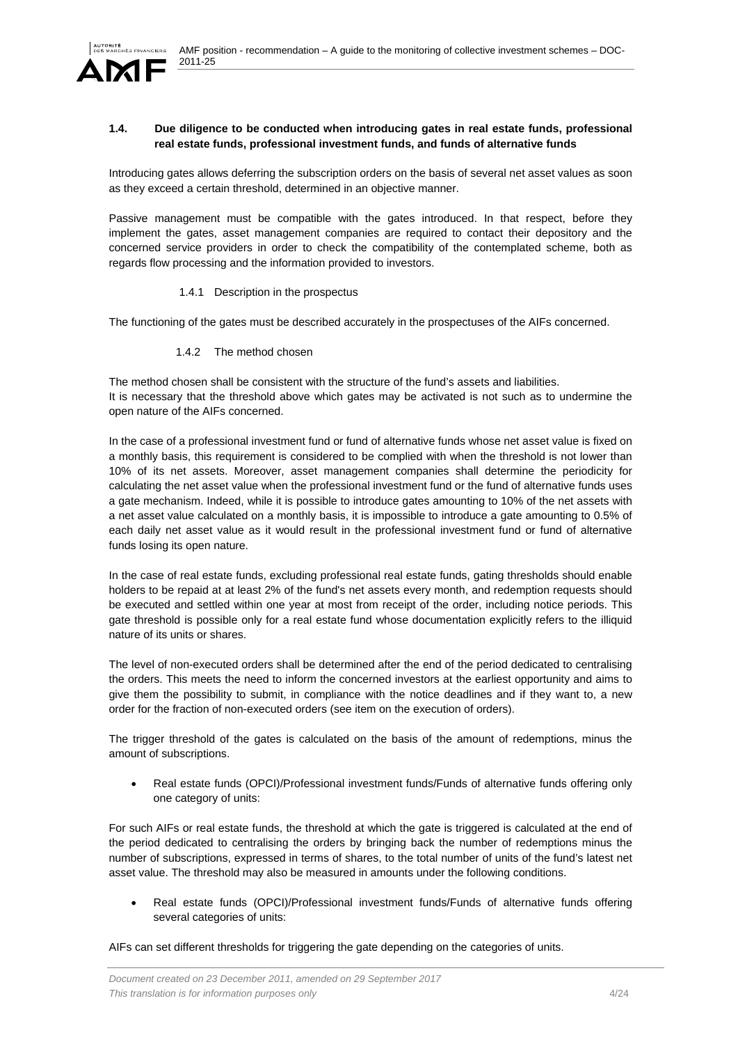

## **1.4. Due diligence to be conducted when introducing gates in real estate funds, professional real estate funds, professional investment funds, and funds of alternative funds**

Introducing gates allows deferring the subscription orders on the basis of several net asset values as soon as they exceed a certain threshold, determined in an objective manner.

Passive management must be compatible with the gates introduced. In that respect, before they implement the gates, asset management companies are required to contact their depository and the concerned service providers in order to check the compatibility of the contemplated scheme, both as regards flow processing and the information provided to investors.

### 1.4.1 Description in the prospectus

The functioning of the gates must be described accurately in the prospectuses of the AIFs concerned.

1.4.2 The method chosen

The method chosen shall be consistent with the structure of the fund's assets and liabilities. It is necessary that the threshold above which gates may be activated is not such as to undermine the open nature of the AIFs concerned.

In the case of a professional investment fund or fund of alternative funds whose net asset value is fixed on a monthly basis, this requirement is considered to be complied with when the threshold is not lower than 10% of its net assets. Moreover, asset management companies shall determine the periodicity for calculating the net asset value when the professional investment fund or the fund of alternative funds uses a gate mechanism. Indeed, while it is possible to introduce gates amounting to 10% of the net assets with a net asset value calculated on a monthly basis, it is impossible to introduce a gate amounting to 0.5% of each daily net asset value as it would result in the professional investment fund or fund of alternative funds losing its open nature.

In the case of real estate funds, excluding professional real estate funds, gating thresholds should enable holders to be repaid at at least 2% of the fund's net assets every month, and redemption requests should be executed and settled within one year at most from receipt of the order, including notice periods. This gate threshold is possible only for a real estate fund whose documentation explicitly refers to the illiquid nature of its units or shares.

The level of non-executed orders shall be determined after the end of the period dedicated to centralising the orders. This meets the need to inform the concerned investors at the earliest opportunity and aims to give them the possibility to submit, in compliance with the notice deadlines and if they want to, a new order for the fraction of non-executed orders (see item on the execution of orders).

The trigger threshold of the gates is calculated on the basis of the amount of redemptions, minus the amount of subscriptions.

 Real estate funds (OPCI)/Professional investment funds/Funds of alternative funds offering only one category of units:

For such AIFs or real estate funds, the threshold at which the gate is triggered is calculated at the end of the period dedicated to centralising the orders by bringing back the number of redemptions minus the number of subscriptions, expressed in terms of shares, to the total number of units of the fund's latest net asset value. The threshold may also be measured in amounts under the following conditions.

 Real estate funds (OPCI)/Professional investment funds/Funds of alternative funds offering several categories of units:

AIFs can set different thresholds for triggering the gate depending on the categories of units.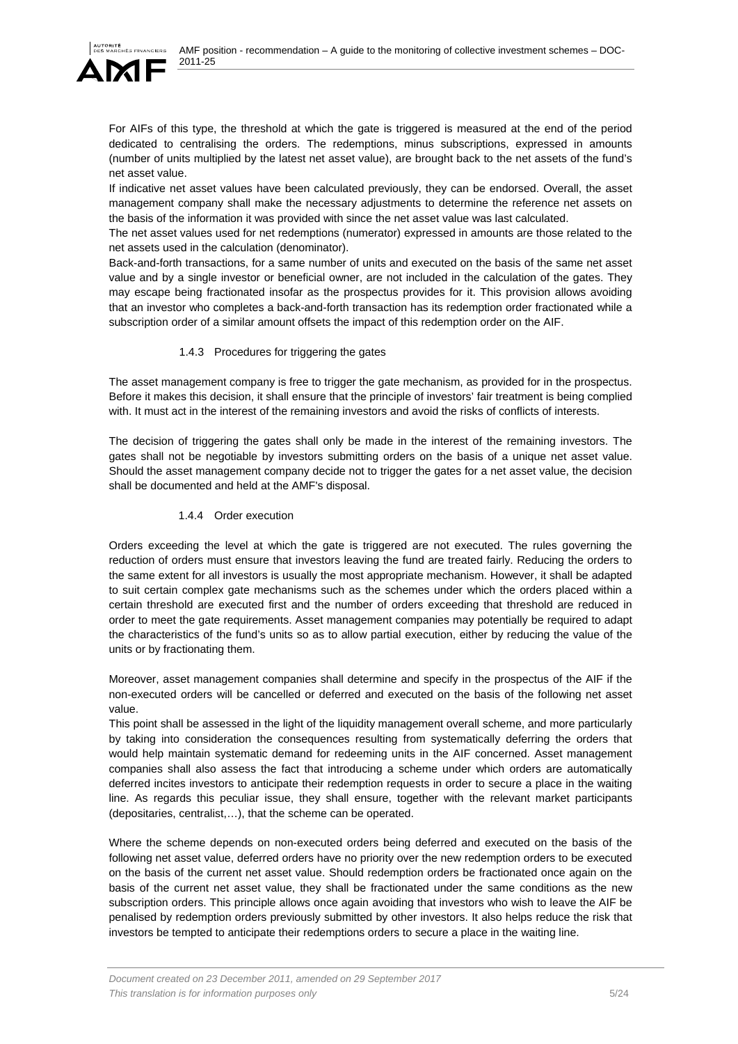

For AIFs of this type, the threshold at which the gate is triggered is measured at the end of the period dedicated to centralising the orders. The redemptions, minus subscriptions, expressed in amounts (number of units multiplied by the latest net asset value), are brought back to the net assets of the fund's net asset value.

If indicative net asset values have been calculated previously, they can be endorsed. Overall, the asset management company shall make the necessary adjustments to determine the reference net assets on the basis of the information it was provided with since the net asset value was last calculated.

The net asset values used for net redemptions (numerator) expressed in amounts are those related to the net assets used in the calculation (denominator).

Back-and-forth transactions, for a same number of units and executed on the basis of the same net asset value and by a single investor or beneficial owner, are not included in the calculation of the gates. They may escape being fractionated insofar as the prospectus provides for it. This provision allows avoiding that an investor who completes a back-and-forth transaction has its redemption order fractionated while a subscription order of a similar amount offsets the impact of this redemption order on the AIF.

## 1.4.3 Procedures for triggering the gates

The asset management company is free to trigger the gate mechanism, as provided for in the prospectus. Before it makes this decision, it shall ensure that the principle of investors' fair treatment is being complied with. It must act in the interest of the remaining investors and avoid the risks of conflicts of interests.

The decision of triggering the gates shall only be made in the interest of the remaining investors. The gates shall not be negotiable by investors submitting orders on the basis of a unique net asset value. Should the asset management company decide not to trigger the gates for a net asset value, the decision shall be documented and held at the AMF's disposal.

# 1.4.4 Order execution

Orders exceeding the level at which the gate is triggered are not executed. The rules governing the reduction of orders must ensure that investors leaving the fund are treated fairly. Reducing the orders to the same extent for all investors is usually the most appropriate mechanism. However, it shall be adapted to suit certain complex gate mechanisms such as the schemes under which the orders placed within a certain threshold are executed first and the number of orders exceeding that threshold are reduced in order to meet the gate requirements. Asset management companies may potentially be required to adapt the characteristics of the fund's units so as to allow partial execution, either by reducing the value of the units or by fractionating them.

Moreover, asset management companies shall determine and specify in the prospectus of the AIF if the non-executed orders will be cancelled or deferred and executed on the basis of the following net asset value.

This point shall be assessed in the light of the liquidity management overall scheme, and more particularly by taking into consideration the consequences resulting from systematically deferring the orders that would help maintain systematic demand for redeeming units in the AIF concerned. Asset management companies shall also assess the fact that introducing a scheme under which orders are automatically deferred incites investors to anticipate their redemption requests in order to secure a place in the waiting line. As regards this peculiar issue, they shall ensure, together with the relevant market participants (depositaries, centralist,…), that the scheme can be operated.

Where the scheme depends on non-executed orders being deferred and executed on the basis of the following net asset value, deferred orders have no priority over the new redemption orders to be executed on the basis of the current net asset value. Should redemption orders be fractionated once again on the basis of the current net asset value, they shall be fractionated under the same conditions as the new subscription orders. This principle allows once again avoiding that investors who wish to leave the AIF be penalised by redemption orders previously submitted by other investors. It also helps reduce the risk that investors be tempted to anticipate their redemptions orders to secure a place in the waiting line.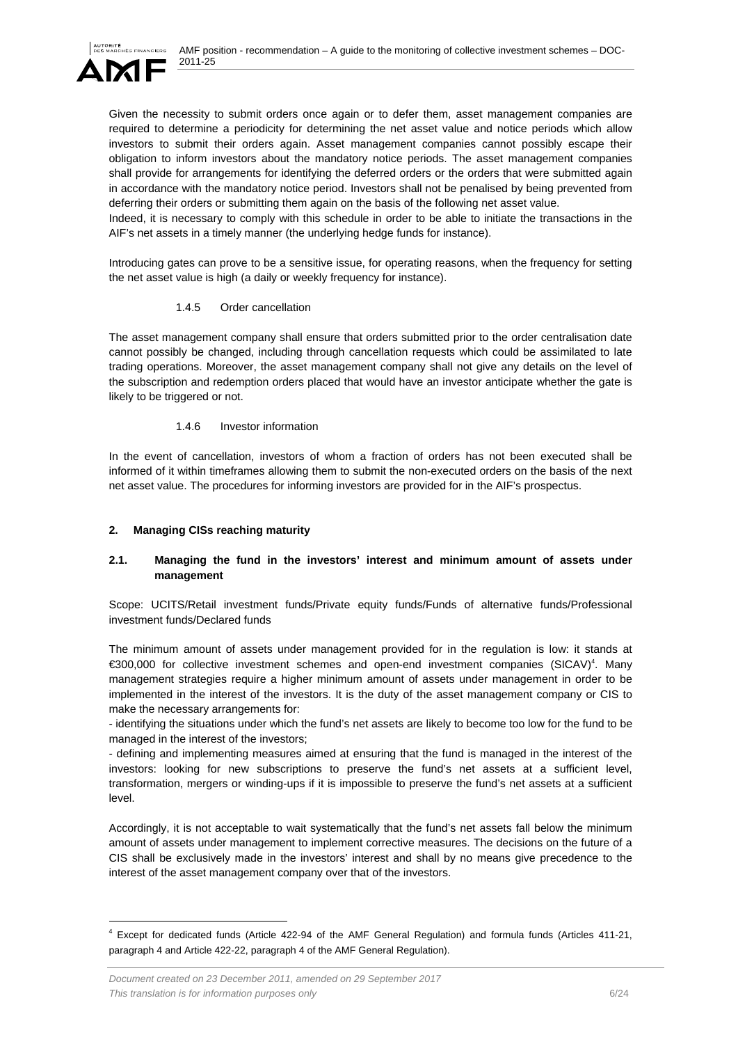

Given the necessity to submit orders once again or to defer them, asset management companies are required to determine a periodicity for determining the net asset value and notice periods which allow investors to submit their orders again. Asset management companies cannot possibly escape their obligation to inform investors about the mandatory notice periods. The asset management companies shall provide for arrangements for identifying the deferred orders or the orders that were submitted again in accordance with the mandatory notice period. Investors shall not be penalised by being prevented from deferring their orders or submitting them again on the basis of the following net asset value.

Indeed, it is necessary to comply with this schedule in order to be able to initiate the transactions in the AIF's net assets in a timely manner (the underlying hedge funds for instance).

Introducing gates can prove to be a sensitive issue, for operating reasons, when the frequency for setting the net asset value is high (a daily or weekly frequency for instance).

### 1.4.5 Order cancellation

The asset management company shall ensure that orders submitted prior to the order centralisation date cannot possibly be changed, including through cancellation requests which could be assimilated to late trading operations. Moreover, the asset management company shall not give any details on the level of the subscription and redemption orders placed that would have an investor anticipate whether the gate is likely to be triggered or not.

## 1.4.6 Investor information

In the event of cancellation, investors of whom a fraction of orders has not been executed shall be informed of it within timeframes allowing them to submit the non-executed orders on the basis of the next net asset value. The procedures for informing investors are provided for in the AIF's prospectus.

# **2. Managing CISs reaching maturity**

l

## **2.1. Managing the fund in the investors' interest and minimum amount of assets under management**

Scope: UCITS/Retail investment funds/Private equity funds/Funds of alternative funds/Professional investment funds/Declared funds

The minimum amount of assets under management provided for in the regulation is low: it stands at €300,000 for collective investment schemes and open-end investment companies (SICAV)4 . Many management strategies require a higher minimum amount of assets under management in order to be implemented in the interest of the investors. It is the duty of the asset management company or CIS to make the necessary arrangements for:

- identifying the situations under which the fund's net assets are likely to become too low for the fund to be managed in the interest of the investors;

- defining and implementing measures aimed at ensuring that the fund is managed in the interest of the investors: looking for new subscriptions to preserve the fund's net assets at a sufficient level, transformation, mergers or winding-ups if it is impossible to preserve the fund's net assets at a sufficient level.

Accordingly, it is not acceptable to wait systematically that the fund's net assets fall below the minimum amount of assets under management to implement corrective measures. The decisions on the future of a CIS shall be exclusively made in the investors' interest and shall by no means give precedence to the interest of the asset management company over that of the investors.

<sup>4</sup> Except for dedicated funds (Article 422-94 of the AMF General Regulation) and formula funds (Articles 411-21, paragraph 4 and Article 422-22, paragraph 4 of the AMF General Regulation).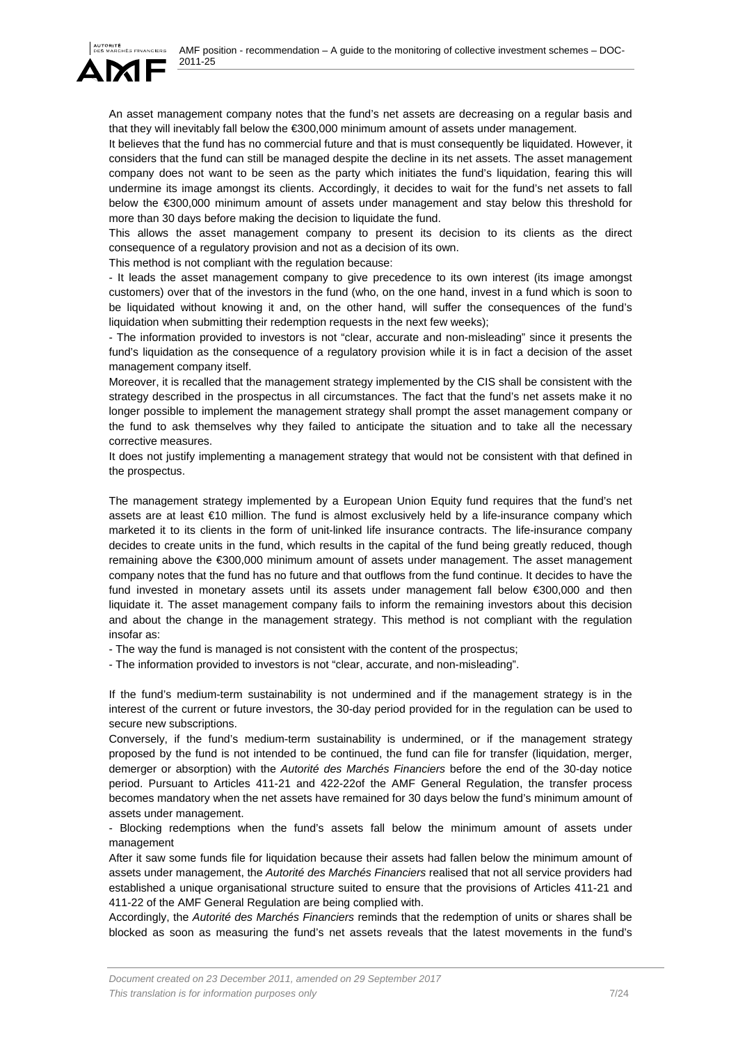

An asset management company notes that the fund's net assets are decreasing on a regular basis and that they will inevitably fall below the €300,000 minimum amount of assets under management.

It believes that the fund has no commercial future and that is must consequently be liquidated. However, it considers that the fund can still be managed despite the decline in its net assets. The asset management company does not want to be seen as the party which initiates the fund's liquidation, fearing this will undermine its image amongst its clients. Accordingly, it decides to wait for the fund's net assets to fall below the €300,000 minimum amount of assets under management and stay below this threshold for more than 30 days before making the decision to liquidate the fund.

This allows the asset management company to present its decision to its clients as the direct consequence of a regulatory provision and not as a decision of its own.

This method is not compliant with the regulation because:

- It leads the asset management company to give precedence to its own interest (its image amongst customers) over that of the investors in the fund (who, on the one hand, invest in a fund which is soon to be liquidated without knowing it and, on the other hand, will suffer the consequences of the fund's liquidation when submitting their redemption requests in the next few weeks);

- The information provided to investors is not "clear, accurate and non-misleading" since it presents the fund's liquidation as the consequence of a regulatory provision while it is in fact a decision of the asset management company itself.

Moreover, it is recalled that the management strategy implemented by the CIS shall be consistent with the strategy described in the prospectus in all circumstances. The fact that the fund's net assets make it no longer possible to implement the management strategy shall prompt the asset management company or the fund to ask themselves why they failed to anticipate the situation and to take all the necessary corrective measures.

It does not justify implementing a management strategy that would not be consistent with that defined in the prospectus.

The management strategy implemented by a European Union Equity fund requires that the fund's net assets are at least €10 million. The fund is almost exclusively held by a life-insurance company which marketed it to its clients in the form of unit-linked life insurance contracts. The life-insurance company decides to create units in the fund, which results in the capital of the fund being greatly reduced, though remaining above the €300,000 minimum amount of assets under management. The asset management company notes that the fund has no future and that outflows from the fund continue. It decides to have the fund invested in monetary assets until its assets under management fall below €300,000 and then liquidate it. The asset management company fails to inform the remaining investors about this decision and about the change in the management strategy. This method is not compliant with the regulation insofar as:

- The way the fund is managed is not consistent with the content of the prospectus;

- The information provided to investors is not "clear, accurate, and non-misleading".

If the fund's medium-term sustainability is not undermined and if the management strategy is in the interest of the current or future investors, the 30-day period provided for in the regulation can be used to secure new subscriptions.

Conversely, if the fund's medium-term sustainability is undermined, or if the management strategy proposed by the fund is not intended to be continued, the fund can file for transfer (liquidation, merger, demerger or absorption) with the *Autorité des Marchés Financiers* before the end of the 30-day notice period. Pursuant to Articles 411-21 and 422-22of the AMF General Regulation, the transfer process becomes mandatory when the net assets have remained for 30 days below the fund's minimum amount of assets under management.

- Blocking redemptions when the fund's assets fall below the minimum amount of assets under management

After it saw some funds file for liquidation because their assets had fallen below the minimum amount of assets under management, the *Autorité des Marchés Financiers* realised that not all service providers had established a unique organisational structure suited to ensure that the provisions of Articles 411-21 and 411-22 of the AMF General Regulation are being complied with.

Accordingly, the *Autorité des Marchés Financiers* reminds that the redemption of units or shares shall be blocked as soon as measuring the fund's net assets reveals that the latest movements in the fund's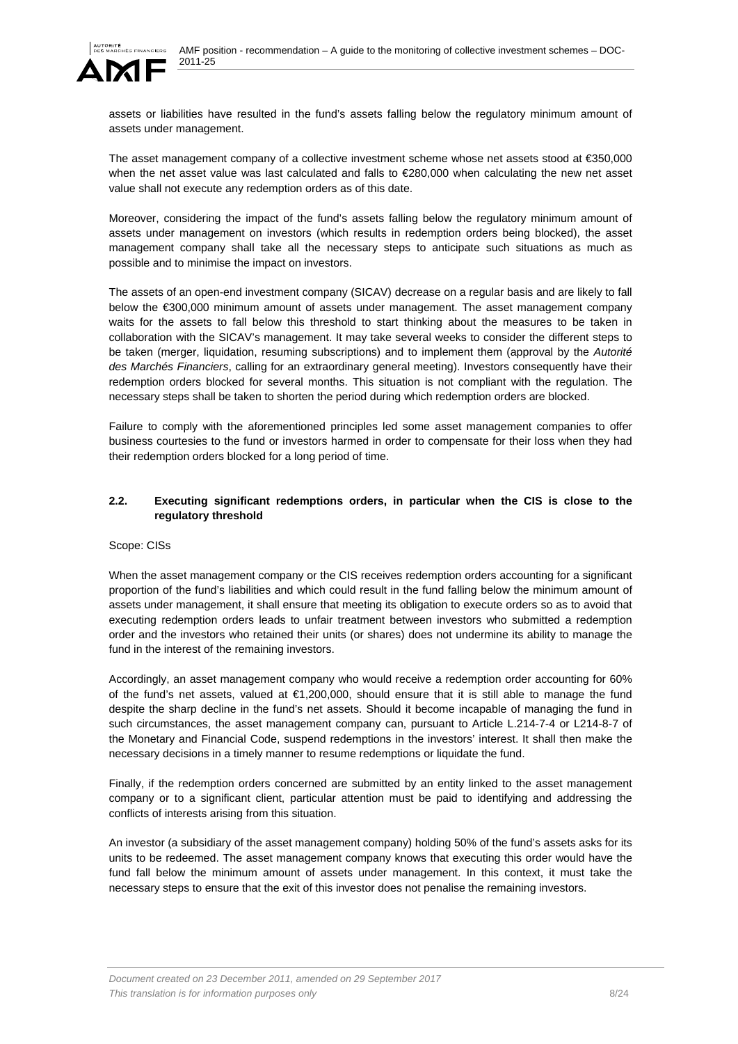

assets or liabilities have resulted in the fund's assets falling below the regulatory minimum amount of assets under management.

The asset management company of a collective investment scheme whose net assets stood at €350,000 when the net asset value was last calculated and falls to €280,000 when calculating the new net asset value shall not execute any redemption orders as of this date.

Moreover, considering the impact of the fund's assets falling below the regulatory minimum amount of assets under management on investors (which results in redemption orders being blocked), the asset management company shall take all the necessary steps to anticipate such situations as much as possible and to minimise the impact on investors.

The assets of an open-end investment company (SICAV) decrease on a regular basis and are likely to fall below the €300,000 minimum amount of assets under management. The asset management company waits for the assets to fall below this threshold to start thinking about the measures to be taken in collaboration with the SICAV's management. It may take several weeks to consider the different steps to be taken (merger, liquidation, resuming subscriptions) and to implement them (approval by the *Autorité des Marchés Financiers*, calling for an extraordinary general meeting). Investors consequently have their redemption orders blocked for several months. This situation is not compliant with the regulation. The necessary steps shall be taken to shorten the period during which redemption orders are blocked.

Failure to comply with the aforementioned principles led some asset management companies to offer business courtesies to the fund or investors harmed in order to compensate for their loss when they had their redemption orders blocked for a long period of time.

### **2.2. Executing significant redemptions orders, in particular when the CIS is close to the regulatory threshold**

### Scope: CISs

When the asset management company or the CIS receives redemption orders accounting for a significant proportion of the fund's liabilities and which could result in the fund falling below the minimum amount of assets under management, it shall ensure that meeting its obligation to execute orders so as to avoid that executing redemption orders leads to unfair treatment between investors who submitted a redemption order and the investors who retained their units (or shares) does not undermine its ability to manage the fund in the interest of the remaining investors.

Accordingly, an asset management company who would receive a redemption order accounting for 60% of the fund's net assets, valued at €1,200,000, should ensure that it is still able to manage the fund despite the sharp decline in the fund's net assets. Should it become incapable of managing the fund in such circumstances, the asset management company can, pursuant to Article L.214-7-4 or L214-8-7 of the Monetary and Financial Code, suspend redemptions in the investors' interest. It shall then make the necessary decisions in a timely manner to resume redemptions or liquidate the fund.

Finally, if the redemption orders concerned are submitted by an entity linked to the asset management company or to a significant client, particular attention must be paid to identifying and addressing the conflicts of interests arising from this situation.

An investor (a subsidiary of the asset management company) holding 50% of the fund's assets asks for its units to be redeemed. The asset management company knows that executing this order would have the fund fall below the minimum amount of assets under management. In this context, it must take the necessary steps to ensure that the exit of this investor does not penalise the remaining investors.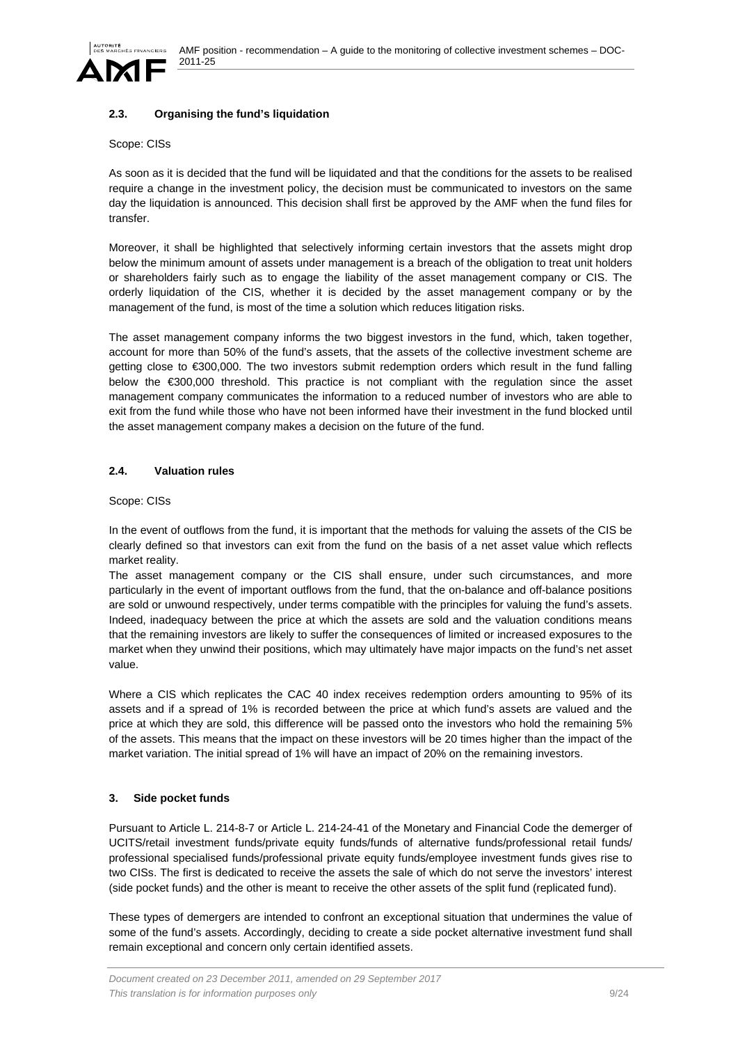## **2.3. Organising the fund's liquidation**

#### Scope: CISs

As soon as it is decided that the fund will be liquidated and that the conditions for the assets to be realised require a change in the investment policy, the decision must be communicated to investors on the same day the liquidation is announced. This decision shall first be approved by the AMF when the fund files for transfer.

Moreover, it shall be highlighted that selectively informing certain investors that the assets might drop below the minimum amount of assets under management is a breach of the obligation to treat unit holders or shareholders fairly such as to engage the liability of the asset management company or CIS. The orderly liquidation of the CIS, whether it is decided by the asset management company or by the management of the fund, is most of the time a solution which reduces litigation risks.

The asset management company informs the two biggest investors in the fund, which, taken together, account for more than 50% of the fund's assets, that the assets of the collective investment scheme are getting close to €300,000. The two investors submit redemption orders which result in the fund falling below the €300,000 threshold. This practice is not compliant with the regulation since the asset management company communicates the information to a reduced number of investors who are able to exit from the fund while those who have not been informed have their investment in the fund blocked until the asset management company makes a decision on the future of the fund.

### **2.4. Valuation rules**

#### Scope: CISs

In the event of outflows from the fund, it is important that the methods for valuing the assets of the CIS be clearly defined so that investors can exit from the fund on the basis of a net asset value which reflects market reality.

The asset management company or the CIS shall ensure, under such circumstances, and more particularly in the event of important outflows from the fund, that the on-balance and off-balance positions are sold or unwound respectively, under terms compatible with the principles for valuing the fund's assets. Indeed, inadequacy between the price at which the assets are sold and the valuation conditions means that the remaining investors are likely to suffer the consequences of limited or increased exposures to the market when they unwind their positions, which may ultimately have major impacts on the fund's net asset value.

Where a CIS which replicates the CAC 40 index receives redemption orders amounting to 95% of its assets and if a spread of 1% is recorded between the price at which fund's assets are valued and the price at which they are sold, this difference will be passed onto the investors who hold the remaining 5% of the assets. This means that the impact on these investors will be 20 times higher than the impact of the market variation. The initial spread of 1% will have an impact of 20% on the remaining investors.

### **3. Side pocket funds**

Pursuant to Article L. 214-8-7 or Article L. 214-24-41 of the Monetary and Financial Code the demerger of UCITS/retail investment funds/private equity funds/funds of alternative funds/professional retail funds/ professional specialised funds/professional private equity funds/employee investment funds gives rise to two CISs. The first is dedicated to receive the assets the sale of which do not serve the investors' interest (side pocket funds) and the other is meant to receive the other assets of the split fund (replicated fund).

These types of demergers are intended to confront an exceptional situation that undermines the value of some of the fund's assets. Accordingly, deciding to create a side pocket alternative investment fund shall remain exceptional and concern only certain identified assets.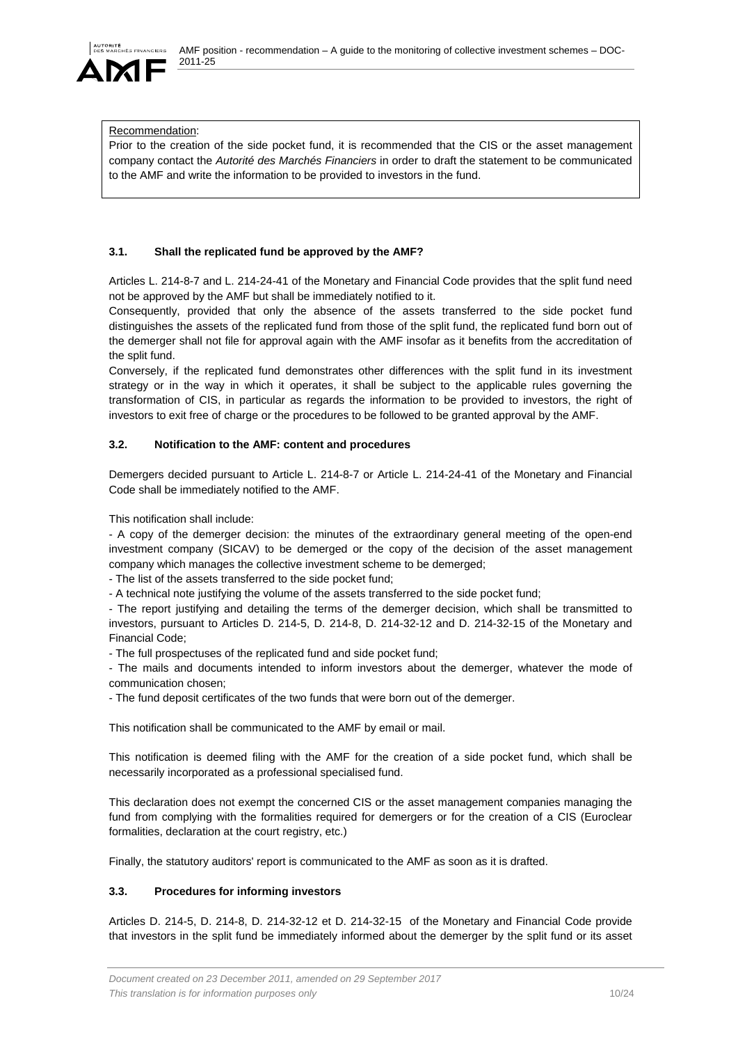**ES FINANCIERS** 

#### Recommendation:

Prior to the creation of the side pocket fund, it is recommended that the CIS or the asset management company contact the *Autorité des Marchés Financiers* in order to draft the statement to be communicated to the AMF and write the information to be provided to investors in the fund.

### **3.1. Shall the replicated fund be approved by the AMF?**

Articles L. 214-8-7 and L. 214-24-41 of the Monetary and Financial Code provides that the split fund need not be approved by the AMF but shall be immediately notified to it.

Consequently, provided that only the absence of the assets transferred to the side pocket fund distinguishes the assets of the replicated fund from those of the split fund, the replicated fund born out of the demerger shall not file for approval again with the AMF insofar as it benefits from the accreditation of the split fund.

Conversely, if the replicated fund demonstrates other differences with the split fund in its investment strategy or in the way in which it operates, it shall be subject to the applicable rules governing the transformation of CIS, in particular as regards the information to be provided to investors, the right of investors to exit free of charge or the procedures to be followed to be granted approval by the AMF.

### **3.2. Notification to the AMF: content and procedures**

Demergers decided pursuant to Article L. 214-8-7 or Article L. 214-24-41 of the Monetary and Financial Code shall be immediately notified to the AMF.

This notification shall include:

- A copy of the demerger decision: the minutes of the extraordinary general meeting of the open-end investment company (SICAV) to be demerged or the copy of the decision of the asset management company which manages the collective investment scheme to be demerged;

- The list of the assets transferred to the side pocket fund;

- A technical note justifying the volume of the assets transferred to the side pocket fund;

- The report justifying and detailing the terms of the demerger decision, which shall be transmitted to investors, pursuant to Articles D. 214-5, D. 214-8, D. 214-32-12 and D. 214-32-15 of the Monetary and Financial Code;

- The full prospectuses of the replicated fund and side pocket fund;

- The mails and documents intended to inform investors about the demerger, whatever the mode of communication chosen;

- The fund deposit certificates of the two funds that were born out of the demerger.

This notification shall be communicated to the AMF by email or mail.

This notification is deemed filing with the AMF for the creation of a side pocket fund, which shall be necessarily incorporated as a professional specialised fund.

This declaration does not exempt the concerned CIS or the asset management companies managing the fund from complying with the formalities required for demergers or for the creation of a CIS (Euroclear formalities, declaration at the court registry, etc.)

Finally, the statutory auditors' report is communicated to the AMF as soon as it is drafted.

### **3.3. Procedures for informing investors**

Articles D. 214-5, D. 214-8, D. 214-32-12 et D. 214-32-15 of the Monetary and Financial Code provide that investors in the split fund be immediately informed about the demerger by the split fund or its asset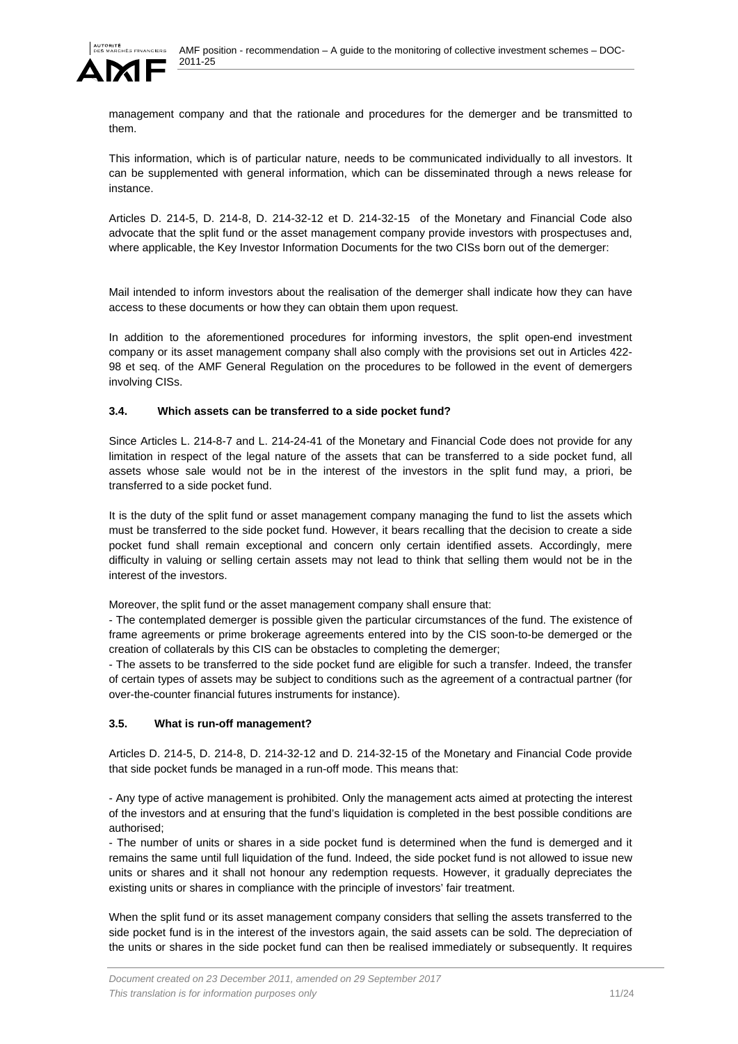

management company and that the rationale and procedures for the demerger and be transmitted to them.

This information, which is of particular nature, needs to be communicated individually to all investors. It can be supplemented with general information, which can be disseminated through a news release for instance.

Articles D. 214-5, D. 214-8, D. 214-32-12 et D. 214-32-15 of the Monetary and Financial Code also advocate that the split fund or the asset management company provide investors with prospectuses and, where applicable, the Key Investor Information Documents for the two CISs born out of the demerger:

Mail intended to inform investors about the realisation of the demerger shall indicate how they can have access to these documents or how they can obtain them upon request.

In addition to the aforementioned procedures for informing investors, the split open-end investment company or its asset management company shall also comply with the provisions set out in Articles 422- 98 et seq. of the AMF General Regulation on the procedures to be followed in the event of demergers involving CISs.

## **3.4. Which assets can be transferred to a side pocket fund?**

Since Articles L. 214-8-7 and L. 214-24-41 of the Monetary and Financial Code does not provide for any limitation in respect of the legal nature of the assets that can be transferred to a side pocket fund, all assets whose sale would not be in the interest of the investors in the split fund may, a priori, be transferred to a side pocket fund.

It is the duty of the split fund or asset management company managing the fund to list the assets which must be transferred to the side pocket fund. However, it bears recalling that the decision to create a side pocket fund shall remain exceptional and concern only certain identified assets. Accordingly, mere difficulty in valuing or selling certain assets may not lead to think that selling them would not be in the interest of the investors.

Moreover, the split fund or the asset management company shall ensure that:

- The contemplated demerger is possible given the particular circumstances of the fund. The existence of frame agreements or prime brokerage agreements entered into by the CIS soon-to-be demerged or the creation of collaterals by this CIS can be obstacles to completing the demerger;

- The assets to be transferred to the side pocket fund are eligible for such a transfer. Indeed, the transfer of certain types of assets may be subject to conditions such as the agreement of a contractual partner (for over-the-counter financial futures instruments for instance).

# **3.5. What is run-off management?**

Articles D. 214-5, D. 214-8, D. 214-32-12 and D. 214-32-15 of the Monetary and Financial Code provide that side pocket funds be managed in a run-off mode. This means that:

- Any type of active management is prohibited. Only the management acts aimed at protecting the interest of the investors and at ensuring that the fund's liquidation is completed in the best possible conditions are authorised;

- The number of units or shares in a side pocket fund is determined when the fund is demerged and it remains the same until full liquidation of the fund. Indeed, the side pocket fund is not allowed to issue new units or shares and it shall not honour any redemption requests. However, it gradually depreciates the existing units or shares in compliance with the principle of investors' fair treatment.

When the split fund or its asset management company considers that selling the assets transferred to the side pocket fund is in the interest of the investors again, the said assets can be sold. The depreciation of the units or shares in the side pocket fund can then be realised immediately or subsequently. It requires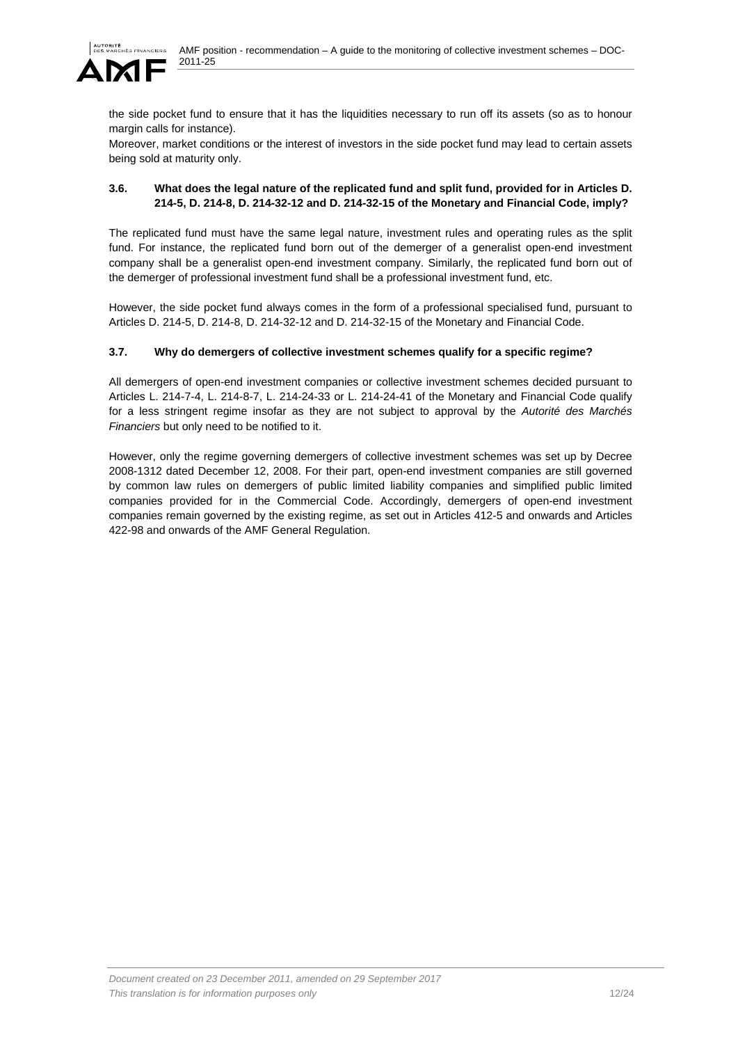

the side pocket fund to ensure that it has the liquidities necessary to run off its assets (so as to honour margin calls for instance).

Moreover, market conditions or the interest of investors in the side pocket fund may lead to certain assets being sold at maturity only.

## **3.6. What does the legal nature of the replicated fund and split fund, provided for in Articles D. 214-5, D. 214-8, D. 214-32-12 and D. 214-32-15 of the Monetary and Financial Code, imply?**

The replicated fund must have the same legal nature, investment rules and operating rules as the split fund. For instance, the replicated fund born out of the demerger of a generalist open-end investment company shall be a generalist open-end investment company. Similarly, the replicated fund born out of the demerger of professional investment fund shall be a professional investment fund, etc.

However, the side pocket fund always comes in the form of a professional specialised fund, pursuant to Articles D. 214-5, D. 214-8, D. 214-32-12 and D. 214-32-15 of the Monetary and Financial Code.

## **3.7. Why do demergers of collective investment schemes qualify for a specific regime?**

All demergers of open-end investment companies or collective investment schemes decided pursuant to Articles L. 214-7-4, L. 214-8-7, L. 214-24-33 or L. 214-24-41 of the Monetary and Financial Code qualify for a less stringent regime insofar as they are not subject to approval by the *Autorité des Marchés Financiers* but only need to be notified to it.

However, only the regime governing demergers of collective investment schemes was set up by Decree 2008-1312 dated December 12, 2008. For their part, open-end investment companies are still governed by common law rules on demergers of public limited liability companies and simplified public limited companies provided for in the Commercial Code. Accordingly, demergers of open-end investment companies remain governed by the existing regime, as set out in Articles 412-5 and onwards and Articles 422-98 and onwards of the AMF General Regulation.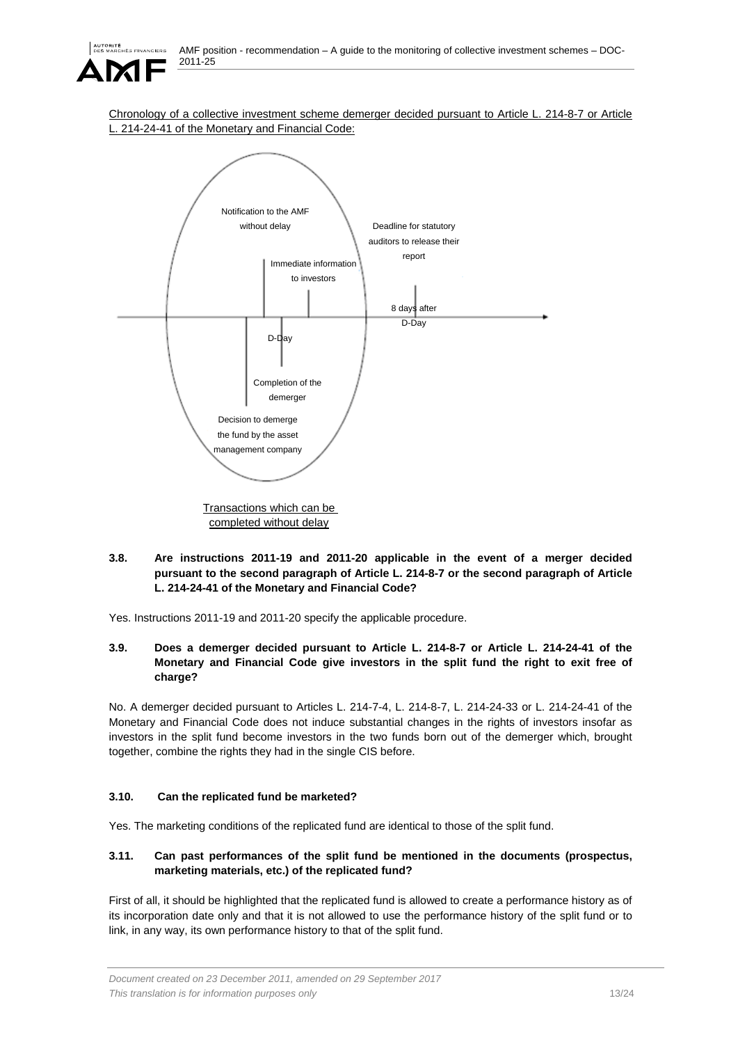

Chronology of a collective investment scheme demerger decided pursuant to Article L. 214-8-7 or Article 214-24-41 of the Monetary and Financial Code:



completed without delay

**3.8. Are instructions 2011-19 and 2011-20 applicable in the event of a merger decided pursuant to the second paragraph of Article L. 214-8-7 or the second paragraph of Article L. 214-24-41 of the Monetary and Financial Code?** 

Yes. Instructions 2011-19 and 2011-20 specify the applicable procedure.

**3.9. Does a demerger decided pursuant to Article L. 214-8-7 or Article L. 214-24-41 of the Monetary and Financial Code give investors in the split fund the right to exit free of charge?** 

No. A demerger decided pursuant to Articles L. 214-7-4, L. 214-8-7, L. 214-24-33 or L. 214-24-41 of the Monetary and Financial Code does not induce substantial changes in the rights of investors insofar as investors in the split fund become investors in the two funds born out of the demerger which, brought together, combine the rights they had in the single CIS before.

# **3.10. Can the replicated fund be marketed?**

Yes. The marketing conditions of the replicated fund are identical to those of the split fund.

## **3.11. Can past performances of the split fund be mentioned in the documents (prospectus, marketing materials, etc.) of the replicated fund?**

First of all, it should be highlighted that the replicated fund is allowed to create a performance history as of its incorporation date only and that it is not allowed to use the performance history of the split fund or to link, in any way, its own performance history to that of the split fund.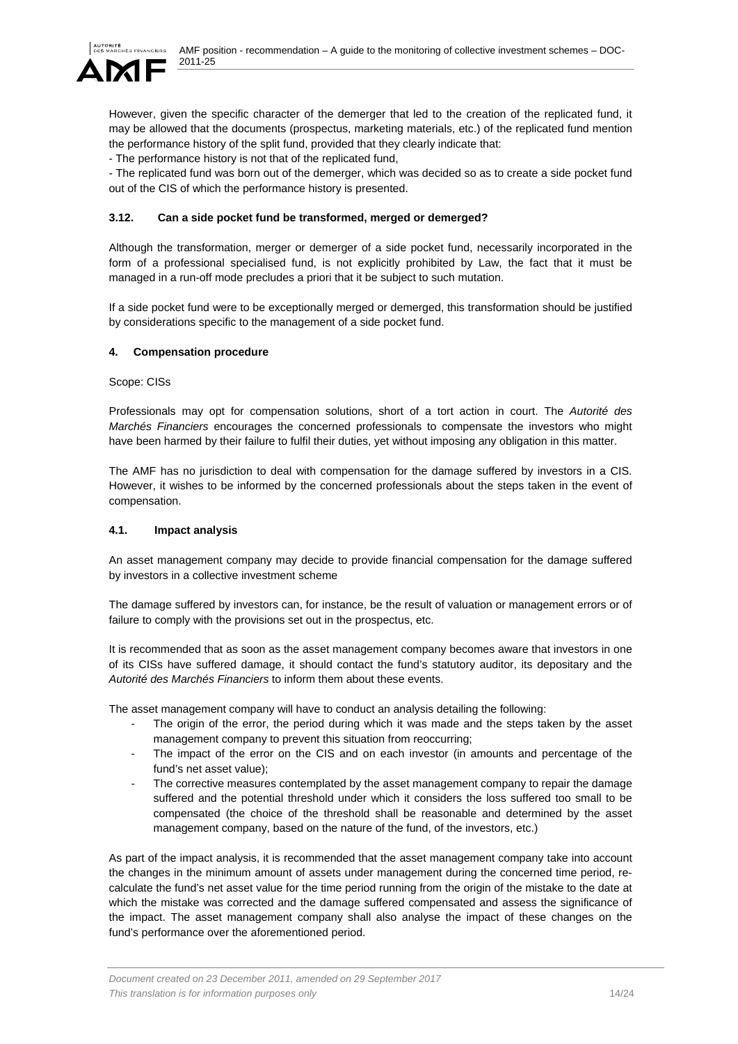However, given the specific character of the demerger that led to the creation of the replicated fund, it may be allowed that the documents (prospectus, marketing materials, etc.) of the replicated fund mention the performance history of the split fund, provided that they clearly indicate that:

- The performance history is not that of the replicated fund,

- The replicated fund was born out of the demerger, which was decided so as to create a side pocket fund out of the CIS of which the performance history is presented.

## **3.12. Can a side pocket fund be transformed, merged or demerged?**

Although the transformation, merger or demerger of a side pocket fund, necessarily incorporated in the form of a professional specialised fund, is not explicitly prohibited by Law, the fact that it must be managed in a run-off mode precludes a priori that it be subject to such mutation.

If a side pocket fund were to be exceptionally merged or demerged, this transformation should be justified by considerations specific to the management of a side pocket fund.

### **4. Compensation procedure**

Scope: CISs

Professionals may opt for compensation solutions, short of a tort action in court. The *Autorité des Marchés Financiers* encourages the concerned professionals to compensate the investors who might have been harmed by their failure to fulfil their duties, yet without imposing any obligation in this matter.

The AMF has no jurisdiction to deal with compensation for the damage suffered by investors in a CIS. However, it wishes to be informed by the concerned professionals about the steps taken in the event of compensation.

### **4.1. Impact analysis**

An asset management company may decide to provide financial compensation for the damage suffered by investors in a collective investment scheme

The damage suffered by investors can, for instance, be the result of valuation or management errors or of failure to comply with the provisions set out in the prospectus, etc.

It is recommended that as soon as the asset management company becomes aware that investors in one of its CISs have suffered damage, it should contact the fund's statutory auditor, its depositary and the *Autorité des Marchés Financiers* to inform them about these events.

The asset management company will have to conduct an analysis detailing the following:

- The origin of the error, the period during which it was made and the steps taken by the asset management company to prevent this situation from reoccurring;
- The impact of the error on the CIS and on each investor (in amounts and percentage of the fund's net asset value);
- The corrective measures contemplated by the asset management company to repair the damage suffered and the potential threshold under which it considers the loss suffered too small to be compensated (the choice of the threshold shall be reasonable and determined by the asset management company, based on the nature of the fund, of the investors, etc.)

As part of the impact analysis, it is recommended that the asset management company take into account the changes in the minimum amount of assets under management during the concerned time period, recalculate the fund's net asset value for the time period running from the origin of the mistake to the date at which the mistake was corrected and the damage suffered compensated and assess the significance of the impact. The asset management company shall also analyse the impact of these changes on the fund's performance over the aforementioned period.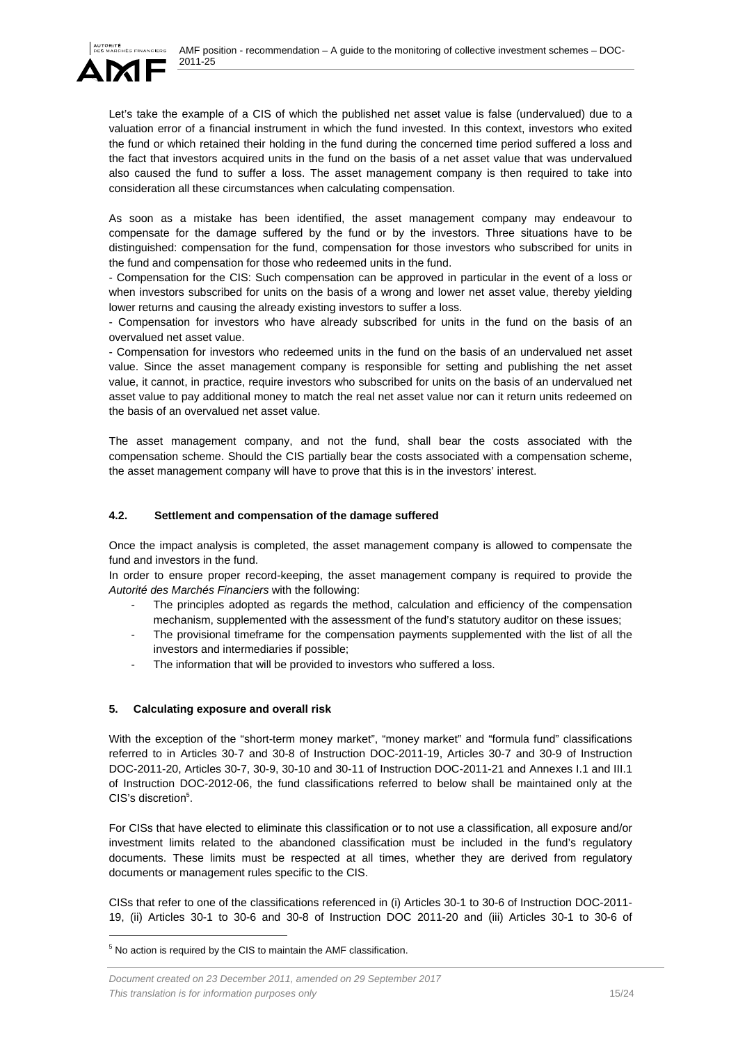

Let's take the example of a CIS of which the published net asset value is false (undervalued) due to a valuation error of a financial instrument in which the fund invested. In this context, investors who exited the fund or which retained their holding in the fund during the concerned time period suffered a loss and the fact that investors acquired units in the fund on the basis of a net asset value that was undervalued also caused the fund to suffer a loss. The asset management company is then required to take into consideration all these circumstances when calculating compensation.

As soon as a mistake has been identified, the asset management company may endeavour to compensate for the damage suffered by the fund or by the investors. Three situations have to be distinguished: compensation for the fund, compensation for those investors who subscribed for units in the fund and compensation for those who redeemed units in the fund.

- Compensation for the CIS: Such compensation can be approved in particular in the event of a loss or when investors subscribed for units on the basis of a wrong and lower net asset value, thereby yielding lower returns and causing the already existing investors to suffer a loss.

- Compensation for investors who have already subscribed for units in the fund on the basis of an overvalued net asset value.

- Compensation for investors who redeemed units in the fund on the basis of an undervalued net asset value. Since the asset management company is responsible for setting and publishing the net asset value, it cannot, in practice, require investors who subscribed for units on the basis of an undervalued net asset value to pay additional money to match the real net asset value nor can it return units redeemed on the basis of an overvalued net asset value.

The asset management company, and not the fund, shall bear the costs associated with the compensation scheme. Should the CIS partially bear the costs associated with a compensation scheme, the asset management company will have to prove that this is in the investors' interest.

### **4.2. Settlement and compensation of the damage suffered**

Once the impact analysis is completed, the asset management company is allowed to compensate the fund and investors in the fund.

In order to ensure proper record-keeping, the asset management company is required to provide the *Autorité des Marchés Financiers* with the following:

- The principles adopted as regards the method, calculation and efficiency of the compensation mechanism, supplemented with the assessment of the fund's statutory auditor on these issues;
- The provisional timeframe for the compensation payments supplemented with the list of all the investors and intermediaries if possible;
- The information that will be provided to investors who suffered a loss.

### **5. Calculating exposure and overall risk**

With the exception of the "short-term money market", "money market" and "formula fund" classifications referred to in Articles 30-7 and 30-8 of Instruction DOC-2011-19, Articles 30-7 and 30-9 of Instruction DOC-2011-20, Articles 30-7, 30-9, 30-10 and 30-11 of Instruction DOC-2011-21 and Annexes I.1 and III.1 of Instruction DOC-2012-06, the fund classifications referred to below shall be maintained only at the CIS's discretion<sup>5</sup>.

For CISs that have elected to eliminate this classification or to not use a classification, all exposure and/or investment limits related to the abandoned classification must be included in the fund's regulatory documents. These limits must be respected at all times, whether they are derived from regulatory documents or management rules specific to the CIS.

CISs that refer to one of the classifications referenced in (i) Articles 30-1 to 30-6 of Instruction DOC-2011- 19, (ii) Articles 30-1 to 30-6 and 30-8 of Instruction DOC 2011-20 and (iii) Articles 30-1 to 30-6 of

l

<sup>&</sup>lt;sup>5</sup> No action is required by the CIS to maintain the AMF classification.

*Document created on 23 December 2011, amended on 29 September 2017 This translation is for information purposes only* 15/24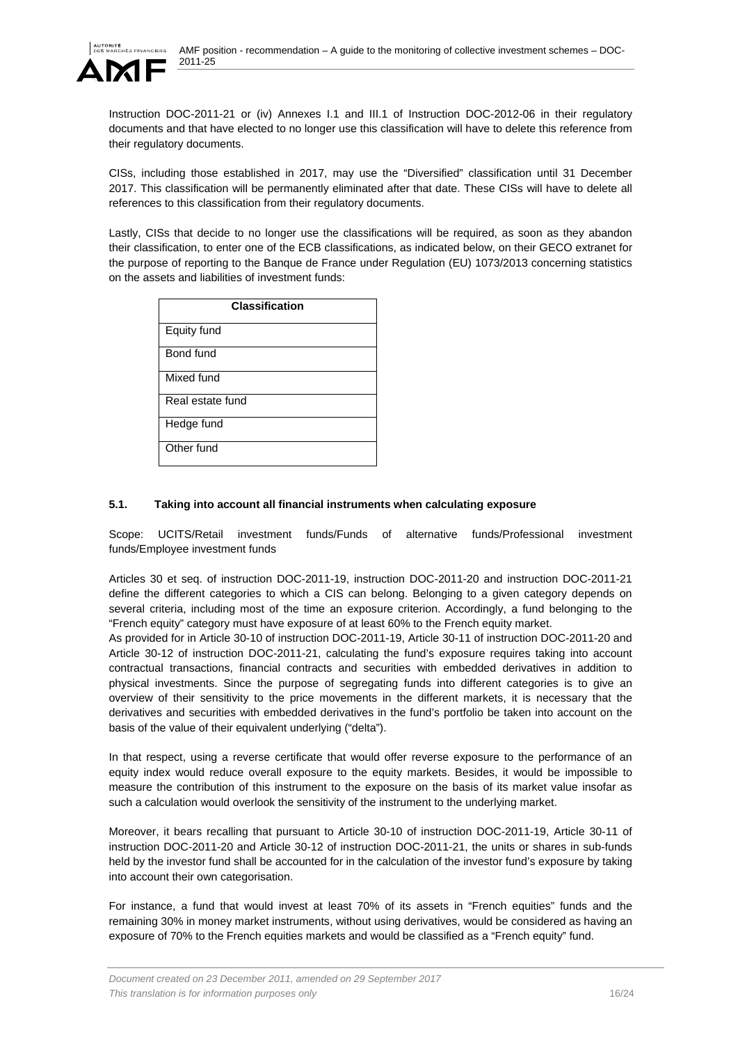

Instruction DOC-2011-21 or (iv) Annexes I.1 and III.1 of Instruction DOC-2012-06 in their regulatory documents and that have elected to no longer use this classification will have to delete this reference from their regulatory documents.

CISs, including those established in 2017, may use the "Diversified" classification until 31 December 2017. This classification will be permanently eliminated after that date. These CISs will have to delete all references to this classification from their regulatory documents.

Lastly, CISs that decide to no longer use the classifications will be required, as soon as they abandon their classification, to enter one of the ECB classifications, as indicated below, on their GECO extranet for the purpose of reporting to the Banque de France under Regulation (EU) 1073/2013 concerning statistics on the assets and liabilities of investment funds:

| <b>Classification</b> |
|-----------------------|
| Equity fund           |
| Bond fund             |
| Mixed fund            |
| Real estate fund      |
| Hedge fund            |
| Other fund            |

## **5.1. Taking into account all financial instruments when calculating exposure**

Scope: UCITS/Retail investment funds/Funds of alternative funds/Professional investment funds/Employee investment funds

Articles 30 et seq. of instruction DOC-2011-19, instruction DOC-2011-20 and instruction DOC-2011-21 define the different categories to which a CIS can belong. Belonging to a given category depends on several criteria, including most of the time an exposure criterion. Accordingly, a fund belonging to the "French equity" category must have exposure of at least 60% to the French equity market.

As provided for in Article 30-10 of instruction DOC-2011-19, Article 30-11 of instruction DOC-2011-20 and Article 30-12 of instruction DOC-2011-21, calculating the fund's exposure requires taking into account contractual transactions, financial contracts and securities with embedded derivatives in addition to physical investments. Since the purpose of segregating funds into different categories is to give an overview of their sensitivity to the price movements in the different markets, it is necessary that the derivatives and securities with embedded derivatives in the fund's portfolio be taken into account on the basis of the value of their equivalent underlying ("delta").

In that respect, using a reverse certificate that would offer reverse exposure to the performance of an equity index would reduce overall exposure to the equity markets. Besides, it would be impossible to measure the contribution of this instrument to the exposure on the basis of its market value insofar as such a calculation would overlook the sensitivity of the instrument to the underlying market.

Moreover, it bears recalling that pursuant to Article 30-10 of instruction DOC-2011-19, Article 30-11 of instruction DOC-2011-20 and Article 30-12 of instruction DOC-2011-21, the units or shares in sub-funds held by the investor fund shall be accounted for in the calculation of the investor fund's exposure by taking into account their own categorisation.

For instance, a fund that would invest at least 70% of its assets in "French equities" funds and the remaining 30% in money market instruments, without using derivatives, would be considered as having an exposure of 70% to the French equities markets and would be classified as a "French equity" fund.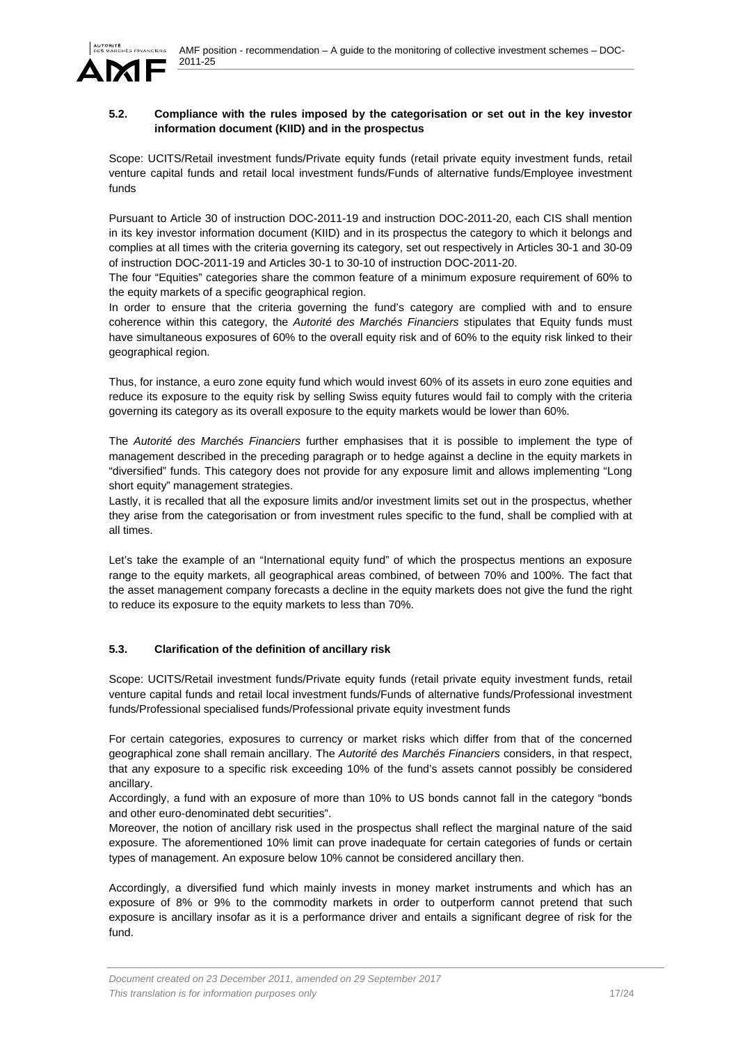

### **5.2. Compliance with the rules imposed by the categorisation or set out in the key investor information document (KIID) and in the prospectus**

Scope: UCITS/Retail investment funds/Private equity funds (retail private equity investment funds, retail venture capital funds and retail local investment funds/Funds of alternative funds/Employee investment funds

Pursuant to Article 30 of instruction DOC-2011-19 and instruction DOC-2011-20, each CIS shall mention in its key investor information document (KIID) and in its prospectus the category to which it belongs and complies at all times with the criteria governing its category, set out respectively in Articles 30-1 and 30-09 of instruction DOC-2011-19 and Articles 30-1 to 30-10 of instruction DOC-2011-20.

The four "Equities" categories share the common feature of a minimum exposure requirement of 60% to the equity markets of a specific geographical region.

In order to ensure that the criteria governing the fund's category are complied with and to ensure coherence within this category, the *Autorité des Marchés Financiers* stipulates that Equity funds must have simultaneous exposures of 60% to the overall equity risk and of 60% to the equity risk linked to their geographical region.

Thus, for instance, a euro zone equity fund which would invest 60% of its assets in euro zone equities and reduce its exposure to the equity risk by selling Swiss equity futures would fail to comply with the criteria governing its category as its overall exposure to the equity markets would be lower than 60%.

The *Autorité des Marchés Financiers* further emphasises that it is possible to implement the type of management described in the preceding paragraph or to hedge against a decline in the equity markets in "diversified" funds. This category does not provide for any exposure limit and allows implementing "Long short equity" management strategies.

Lastly, it is recalled that all the exposure limits and/or investment limits set out in the prospectus, whether they arise from the categorisation or from investment rules specific to the fund, shall be complied with at all times.

Let's take the example of an "International equity fund" of which the prospectus mentions an exposure range to the equity markets, all geographical areas combined, of between 70% and 100%. The fact that the asset management company forecasts a decline in the equity markets does not give the fund the right to reduce its exposure to the equity markets to less than 70%.

# **5.3. Clarification of the definition of ancillary risk**

Scope: UCITS/Retail investment funds/Private equity funds (retail private equity investment funds, retail venture capital funds and retail local investment funds/Funds of alternative funds/Professional investment funds/Professional specialised funds/Professional private equity investment funds

For certain categories, exposures to currency or market risks which differ from that of the concerned geographical zone shall remain ancillary. The *Autorité des Marchés Financiers* considers, in that respect, that any exposure to a specific risk exceeding 10% of the fund's assets cannot possibly be considered ancillary.

Accordingly, a fund with an exposure of more than 10% to US bonds cannot fall in the category "bonds and other euro-denominated debt securities".

Moreover, the notion of ancillary risk used in the prospectus shall reflect the marginal nature of the said exposure. The aforementioned 10% limit can prove inadequate for certain categories of funds or certain types of management. An exposure below 10% cannot be considered ancillary then.

Accordingly, a diversified fund which mainly invests in money market instruments and which has an exposure of 8% or 9% to the commodity markets in order to outperform cannot pretend that such exposure is ancillary insofar as it is a performance driver and entails a significant degree of risk for the fund.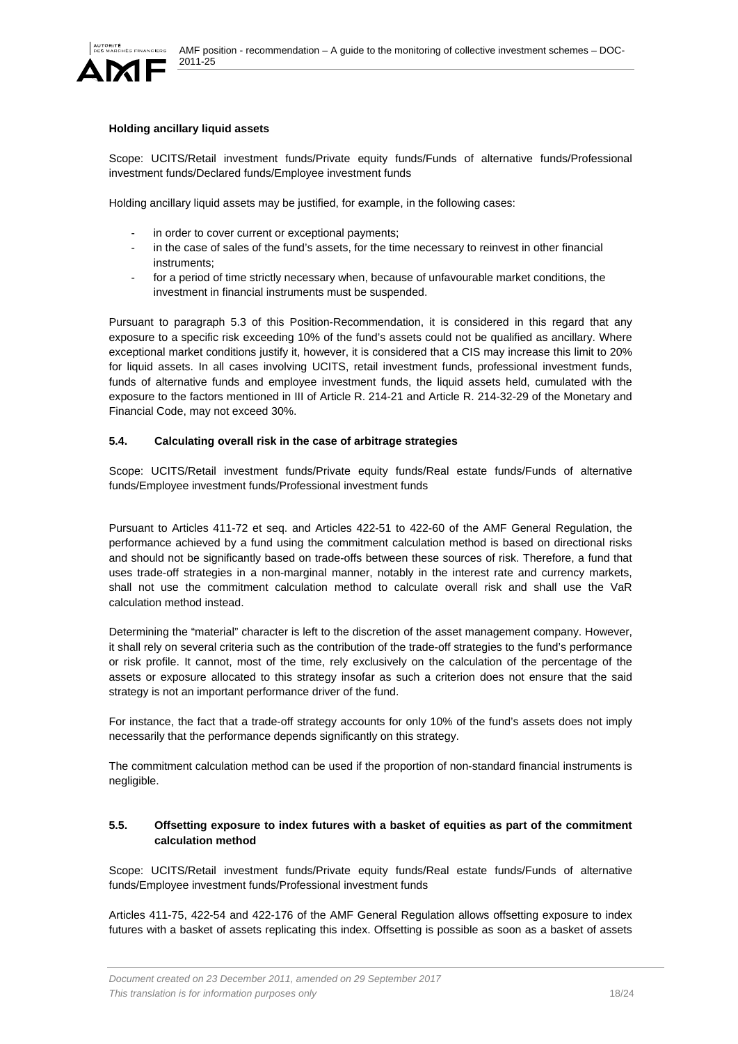

### **Holding ancillary liquid assets**

Scope: UCITS/Retail investment funds/Private equity funds/Funds of alternative funds/Professional investment funds/Declared funds/Employee investment funds

Holding ancillary liquid assets may be justified, for example, in the following cases:

- in order to cover current or exceptional payments;
- in the case of sales of the fund's assets, for the time necessary to reinvest in other financial instruments;
- for a period of time strictly necessary when, because of unfavourable market conditions, the investment in financial instruments must be suspended.

Pursuant to paragraph 5.3 of this Position-Recommendation, it is considered in this regard that any exposure to a specific risk exceeding 10% of the fund's assets could not be qualified as ancillary. Where exceptional market conditions justify it, however, it is considered that a CIS may increase this limit to 20% for liquid assets. In all cases involving UCITS, retail investment funds, professional investment funds, funds of alternative funds and employee investment funds, the liquid assets held, cumulated with the exposure to the factors mentioned in III of Article R. 214-21 and Article R. 214-32-29 of the Monetary and Financial Code, may not exceed 30%.

#### **5.4. Calculating overall risk in the case of arbitrage strategies**

Scope: UCITS/Retail investment funds/Private equity funds/Real estate funds/Funds of alternative funds/Employee investment funds/Professional investment funds

Pursuant to Articles 411-72 et seq. and Articles 422-51 to 422-60 of the AMF General Regulation, the performance achieved by a fund using the commitment calculation method is based on directional risks and should not be significantly based on trade-offs between these sources of risk. Therefore, a fund that uses trade-off strategies in a non-marginal manner, notably in the interest rate and currency markets, shall not use the commitment calculation method to calculate overall risk and shall use the VaR calculation method instead.

Determining the "material" character is left to the discretion of the asset management company. However, it shall rely on several criteria such as the contribution of the trade-off strategies to the fund's performance or risk profile. It cannot, most of the time, rely exclusively on the calculation of the percentage of the assets or exposure allocated to this strategy insofar as such a criterion does not ensure that the said strategy is not an important performance driver of the fund.

For instance, the fact that a trade-off strategy accounts for only 10% of the fund's assets does not imply necessarily that the performance depends significantly on this strategy.

The commitment calculation method can be used if the proportion of non-standard financial instruments is negligible.

### **5.5. Offsetting exposure to index futures with a basket of equities as part of the commitment calculation method**

Scope: UCITS/Retail investment funds/Private equity funds/Real estate funds/Funds of alternative funds/Employee investment funds/Professional investment funds

Articles 411-75, 422-54 and 422-176 of the AMF General Regulation allows offsetting exposure to index futures with a basket of assets replicating this index. Offsetting is possible as soon as a basket of assets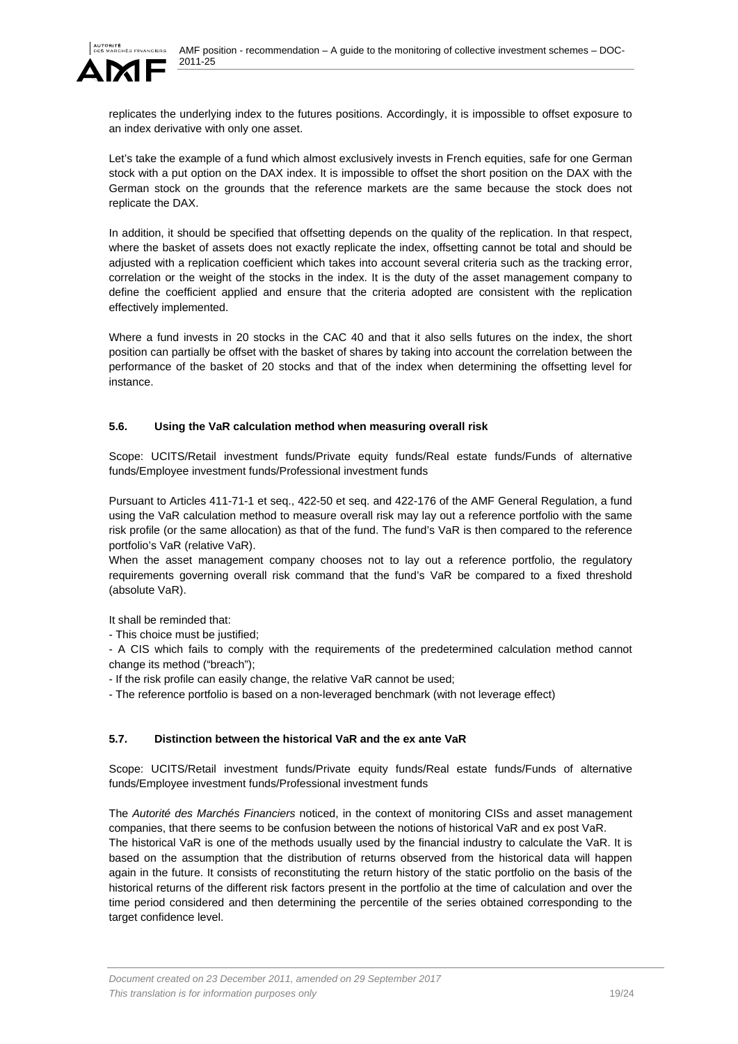

replicates the underlying index to the futures positions. Accordingly, it is impossible to offset exposure to an index derivative with only one asset.

Let's take the example of a fund which almost exclusively invests in French equities, safe for one German stock with a put option on the DAX index. It is impossible to offset the short position on the DAX with the German stock on the grounds that the reference markets are the same because the stock does not replicate the DAX.

In addition, it should be specified that offsetting depends on the quality of the replication. In that respect, where the basket of assets does not exactly replicate the index, offsetting cannot be total and should be adjusted with a replication coefficient which takes into account several criteria such as the tracking error, correlation or the weight of the stocks in the index. It is the duty of the asset management company to define the coefficient applied and ensure that the criteria adopted are consistent with the replication effectively implemented.

Where a fund invests in 20 stocks in the CAC 40 and that it also sells futures on the index, the short position can partially be offset with the basket of shares by taking into account the correlation between the performance of the basket of 20 stocks and that of the index when determining the offsetting level for instance.

# **5.6. Using the VaR calculation method when measuring overall risk**

Scope: UCITS/Retail investment funds/Private equity funds/Real estate funds/Funds of alternative funds/Employee investment funds/Professional investment funds

Pursuant to Articles 411-71-1 et seq., 422-50 et seq. and 422-176 of the AMF General Regulation, a fund using the VaR calculation method to measure overall risk may lay out a reference portfolio with the same risk profile (or the same allocation) as that of the fund. The fund's VaR is then compared to the reference portfolio's VaR (relative VaR).

When the asset management company chooses not to lay out a reference portfolio, the regulatory requirements governing overall risk command that the fund's VaR be compared to a fixed threshold (absolute VaR).

It shall be reminded that:

- This choice must be justified;

- A CIS which fails to comply with the requirements of the predetermined calculation method cannot change its method ("breach");

- If the risk profile can easily change, the relative VaR cannot be used;

- The reference portfolio is based on a non-leveraged benchmark (with not leverage effect)

### **5.7. Distinction between the historical VaR and the ex ante VaR**

Scope: UCITS/Retail investment funds/Private equity funds/Real estate funds/Funds of alternative funds/Employee investment funds/Professional investment funds

The *Autorité des Marchés Financiers* noticed, in the context of monitoring CISs and asset management companies, that there seems to be confusion between the notions of historical VaR and ex post VaR.

The historical VaR is one of the methods usually used by the financial industry to calculate the VaR. It is based on the assumption that the distribution of returns observed from the historical data will happen again in the future. It consists of reconstituting the return history of the static portfolio on the basis of the historical returns of the different risk factors present in the portfolio at the time of calculation and over the time period considered and then determining the percentile of the series obtained corresponding to the target confidence level.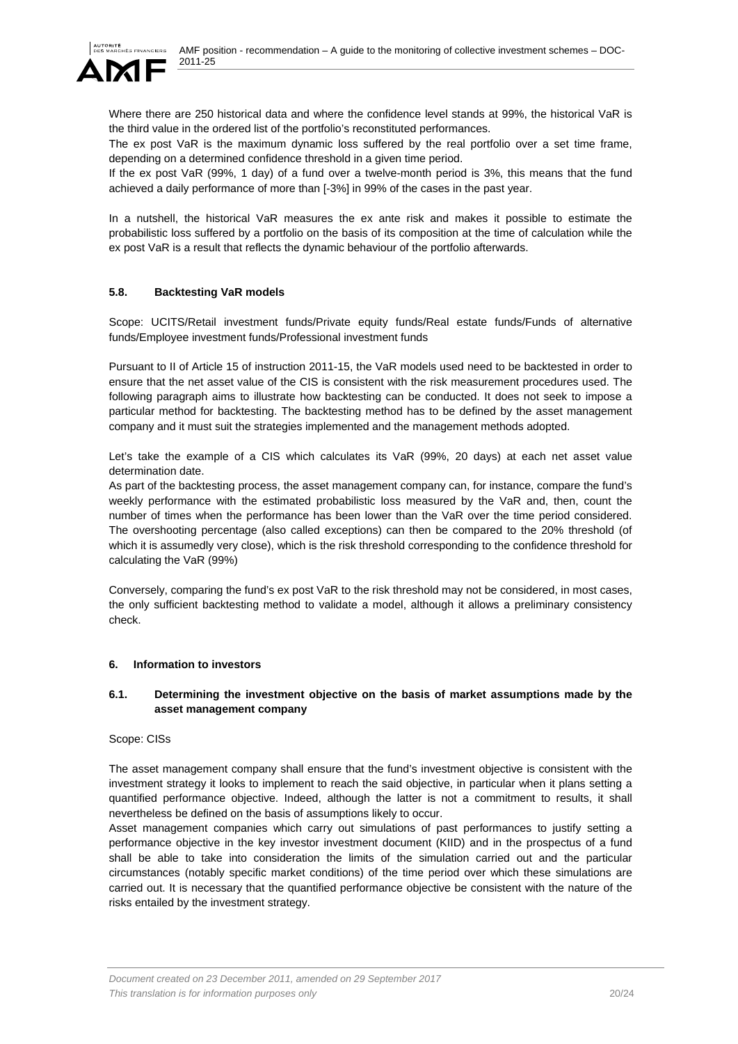

Where there are 250 historical data and where the confidence level stands at 99%, the historical VaR is the third value in the ordered list of the portfolio's reconstituted performances.

The ex post VaR is the maximum dynamic loss suffered by the real portfolio over a set time frame, depending on a determined confidence threshold in a given time period.

If the ex post VaR (99%, 1 day) of a fund over a twelve-month period is 3%, this means that the fund achieved a daily performance of more than [-3%] in 99% of the cases in the past year.

In a nutshell, the historical VaR measures the ex ante risk and makes it possible to estimate the probabilistic loss suffered by a portfolio on the basis of its composition at the time of calculation while the ex post VaR is a result that reflects the dynamic behaviour of the portfolio afterwards.

## **5.8. Backtesting VaR models**

Scope: UCITS/Retail investment funds/Private equity funds/Real estate funds/Funds of alternative funds/Employee investment funds/Professional investment funds

Pursuant to II of Article 15 of instruction 2011-15, the VaR models used need to be backtested in order to ensure that the net asset value of the CIS is consistent with the risk measurement procedures used. The following paragraph aims to illustrate how backtesting can be conducted. It does not seek to impose a particular method for backtesting. The backtesting method has to be defined by the asset management company and it must suit the strategies implemented and the management methods adopted.

Let's take the example of a CIS which calculates its VaR (99%, 20 days) at each net asset value determination date.

As part of the backtesting process, the asset management company can, for instance, compare the fund's weekly performance with the estimated probabilistic loss measured by the VaR and, then, count the number of times when the performance has been lower than the VaR over the time period considered. The overshooting percentage (also called exceptions) can then be compared to the 20% threshold (of which it is assumedly very close), which is the risk threshold corresponding to the confidence threshold for calculating the VaR (99%)

Conversely, comparing the fund's ex post VaR to the risk threshold may not be considered, in most cases, the only sufficient backtesting method to validate a model, although it allows a preliminary consistency check.

### **6. Information to investors**

### **6.1. Determining the investment objective on the basis of market assumptions made by the asset management company**

### Scope: CISs

The asset management company shall ensure that the fund's investment objective is consistent with the investment strategy it looks to implement to reach the said objective, in particular when it plans setting a quantified performance objective. Indeed, although the latter is not a commitment to results, it shall nevertheless be defined on the basis of assumptions likely to occur.

Asset management companies which carry out simulations of past performances to justify setting a performance objective in the key investor investment document (KIID) and in the prospectus of a fund shall be able to take into consideration the limits of the simulation carried out and the particular circumstances (notably specific market conditions) of the time period over which these simulations are carried out. It is necessary that the quantified performance objective be consistent with the nature of the risks entailed by the investment strategy.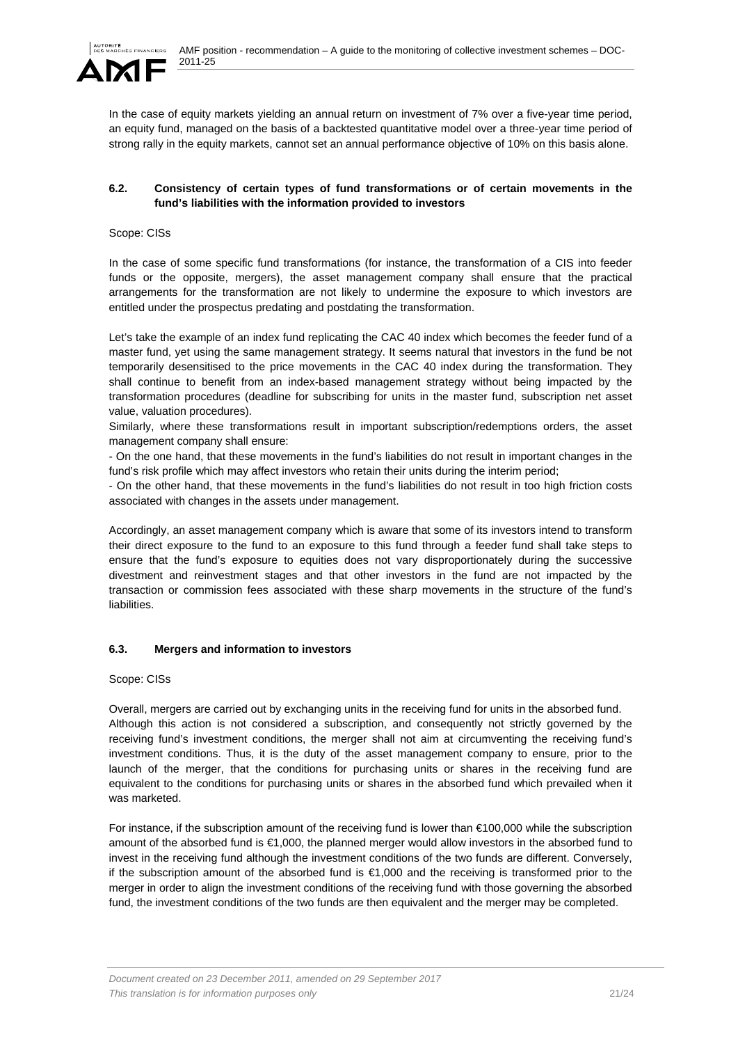

In the case of equity markets yielding an annual return on investment of 7% over a five-year time period, an equity fund, managed on the basis of a backtested quantitative model over a three-year time period of strong rally in the equity markets, cannot set an annual performance objective of 10% on this basis alone.

### **6.2. Consistency of certain types of fund transformations or of certain movements in the fund's liabilities with the information provided to investors**

#### Scope: CISs

In the case of some specific fund transformations (for instance, the transformation of a CIS into feeder funds or the opposite, mergers), the asset management company shall ensure that the practical arrangements for the transformation are not likely to undermine the exposure to which investors are entitled under the prospectus predating and postdating the transformation.

Let's take the example of an index fund replicating the CAC 40 index which becomes the feeder fund of a master fund, yet using the same management strategy. It seems natural that investors in the fund be not temporarily desensitised to the price movements in the CAC 40 index during the transformation. They shall continue to benefit from an index-based management strategy without being impacted by the transformation procedures (deadline for subscribing for units in the master fund, subscription net asset value, valuation procedures).

Similarly, where these transformations result in important subscription/redemptions orders, the asset management company shall ensure:

- On the one hand, that these movements in the fund's liabilities do not result in important changes in the fund's risk profile which may affect investors who retain their units during the interim period;

- On the other hand, that these movements in the fund's liabilities do not result in too high friction costs associated with changes in the assets under management.

Accordingly, an asset management company which is aware that some of its investors intend to transform their direct exposure to the fund to an exposure to this fund through a feeder fund shall take steps to ensure that the fund's exposure to equities does not vary disproportionately during the successive divestment and reinvestment stages and that other investors in the fund are not impacted by the transaction or commission fees associated with these sharp movements in the structure of the fund's **liabilities** 

### **6.3. Mergers and information to investors**

#### Scope: CISs

Overall, mergers are carried out by exchanging units in the receiving fund for units in the absorbed fund. Although this action is not considered a subscription, and consequently not strictly governed by the receiving fund's investment conditions, the merger shall not aim at circumventing the receiving fund's investment conditions. Thus, it is the duty of the asset management company to ensure, prior to the launch of the merger, that the conditions for purchasing units or shares in the receiving fund are equivalent to the conditions for purchasing units or shares in the absorbed fund which prevailed when it was marketed.

For instance, if the subscription amount of the receiving fund is lower than €100,000 while the subscription amount of the absorbed fund is €1,000, the planned merger would allow investors in the absorbed fund to invest in the receiving fund although the investment conditions of the two funds are different. Conversely, if the subscription amount of the absorbed fund is €1,000 and the receiving is transformed prior to the merger in order to align the investment conditions of the receiving fund with those governing the absorbed fund, the investment conditions of the two funds are then equivalent and the merger may be completed.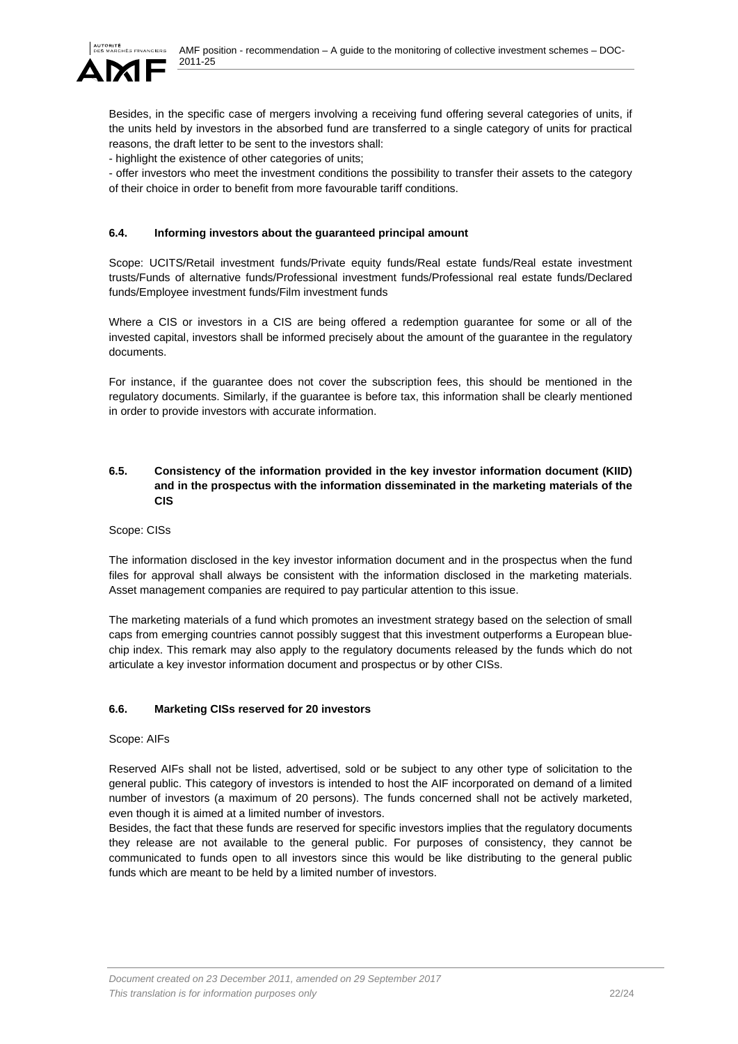

Besides, in the specific case of mergers involving a receiving fund offering several categories of units, if the units held by investors in the absorbed fund are transferred to a single category of units for practical reasons, the draft letter to be sent to the investors shall:

- highlight the existence of other categories of units;

- offer investors who meet the investment conditions the possibility to transfer their assets to the category of their choice in order to benefit from more favourable tariff conditions.

# **6.4. Informing investors about the guaranteed principal amount**

Scope: UCITS/Retail investment funds/Private equity funds/Real estate funds/Real estate investment trusts/Funds of alternative funds/Professional investment funds/Professional real estate funds/Declared funds/Employee investment funds/Film investment funds

Where a CIS or investors in a CIS are being offered a redemption guarantee for some or all of the invested capital, investors shall be informed precisely about the amount of the guarantee in the regulatory documents.

For instance, if the guarantee does not cover the subscription fees, this should be mentioned in the regulatory documents. Similarly, if the guarantee is before tax, this information shall be clearly mentioned in order to provide investors with accurate information.

### **6.5. Consistency of the information provided in the key investor information document (KIID) and in the prospectus with the information disseminated in the marketing materials of the CIS**

Scope: CISs

The information disclosed in the key investor information document and in the prospectus when the fund files for approval shall always be consistent with the information disclosed in the marketing materials. Asset management companies are required to pay particular attention to this issue.

The marketing materials of a fund which promotes an investment strategy based on the selection of small caps from emerging countries cannot possibly suggest that this investment outperforms a European bluechip index. This remark may also apply to the regulatory documents released by the funds which do not articulate a key investor information document and prospectus or by other CISs.

### **6.6. Marketing CISs reserved for 20 investors**

Scope: AIFs

Reserved AIFs shall not be listed, advertised, sold or be subject to any other type of solicitation to the general public. This category of investors is intended to host the AIF incorporated on demand of a limited number of investors (a maximum of 20 persons). The funds concerned shall not be actively marketed, even though it is aimed at a limited number of investors.

Besides, the fact that these funds are reserved for specific investors implies that the regulatory documents they release are not available to the general public. For purposes of consistency, they cannot be communicated to funds open to all investors since this would be like distributing to the general public funds which are meant to be held by a limited number of investors.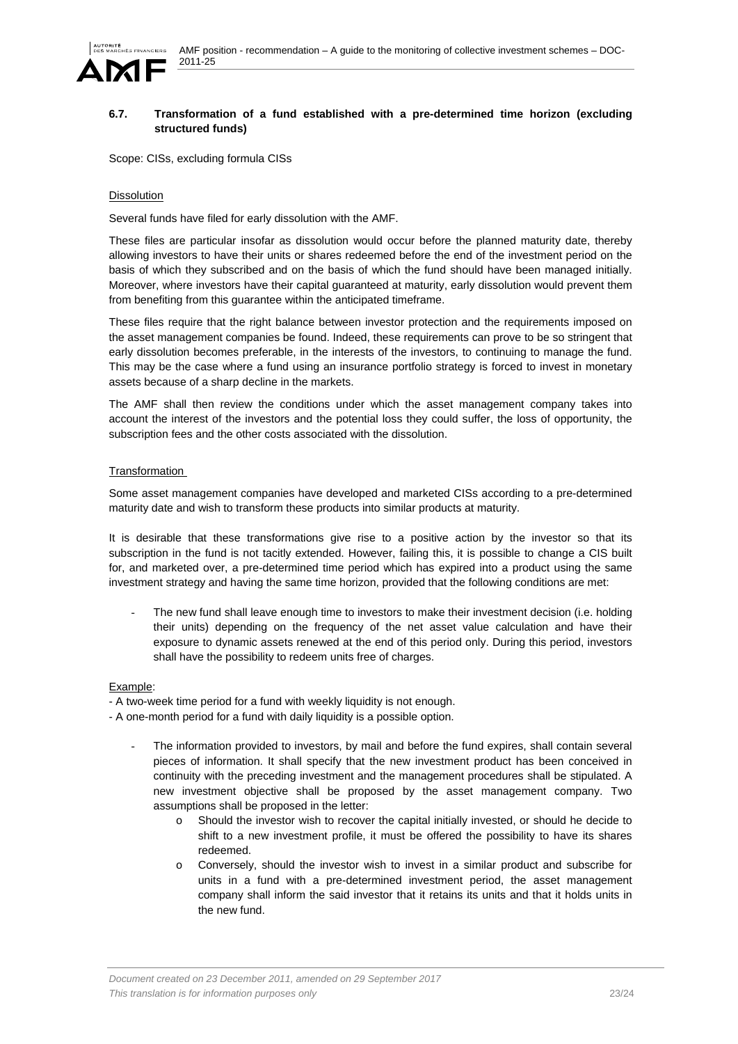

## **6.7. Transformation of a fund established with a pre-determined time horizon (excluding structured funds)**

Scope: CISs, excluding formula CISs

#### Dissolution

Several funds have filed for early dissolution with the AMF.

These files are particular insofar as dissolution would occur before the planned maturity date, thereby allowing investors to have their units or shares redeemed before the end of the investment period on the basis of which they subscribed and on the basis of which the fund should have been managed initially. Moreover, where investors have their capital guaranteed at maturity, early dissolution would prevent them from benefiting from this guarantee within the anticipated timeframe.

These files require that the right balance between investor protection and the requirements imposed on the asset management companies be found. Indeed, these requirements can prove to be so stringent that early dissolution becomes preferable, in the interests of the investors, to continuing to manage the fund. This may be the case where a fund using an insurance portfolio strategy is forced to invest in monetary assets because of a sharp decline in the markets.

The AMF shall then review the conditions under which the asset management company takes into account the interest of the investors and the potential loss they could suffer, the loss of opportunity, the subscription fees and the other costs associated with the dissolution.

### Transformation

Some asset management companies have developed and marketed CISs according to a pre-determined maturity date and wish to transform these products into similar products at maturity.

It is desirable that these transformations give rise to a positive action by the investor so that its subscription in the fund is not tacitly extended. However, failing this, it is possible to change a CIS built for, and marketed over, a pre-determined time period which has expired into a product using the same investment strategy and having the same time horizon, provided that the following conditions are met:

The new fund shall leave enough time to investors to make their investment decision (i.e. holding their units) depending on the frequency of the net asset value calculation and have their exposure to dynamic assets renewed at the end of this period only. During this period, investors shall have the possibility to redeem units free of charges.

#### Example:

- A two-week time period for a fund with weekly liquidity is not enough.

- A one-month period for a fund with daily liquidity is a possible option.
	- The information provided to investors, by mail and before the fund expires, shall contain several pieces of information. It shall specify that the new investment product has been conceived in continuity with the preceding investment and the management procedures shall be stipulated. A new investment objective shall be proposed by the asset management company. Two assumptions shall be proposed in the letter:
		- o Should the investor wish to recover the capital initially invested, or should he decide to shift to a new investment profile, it must be offered the possibility to have its shares redeemed.
		- Conversely, should the investor wish to invest in a similar product and subscribe for units in a fund with a pre-determined investment period, the asset management company shall inform the said investor that it retains its units and that it holds units in the new fund.